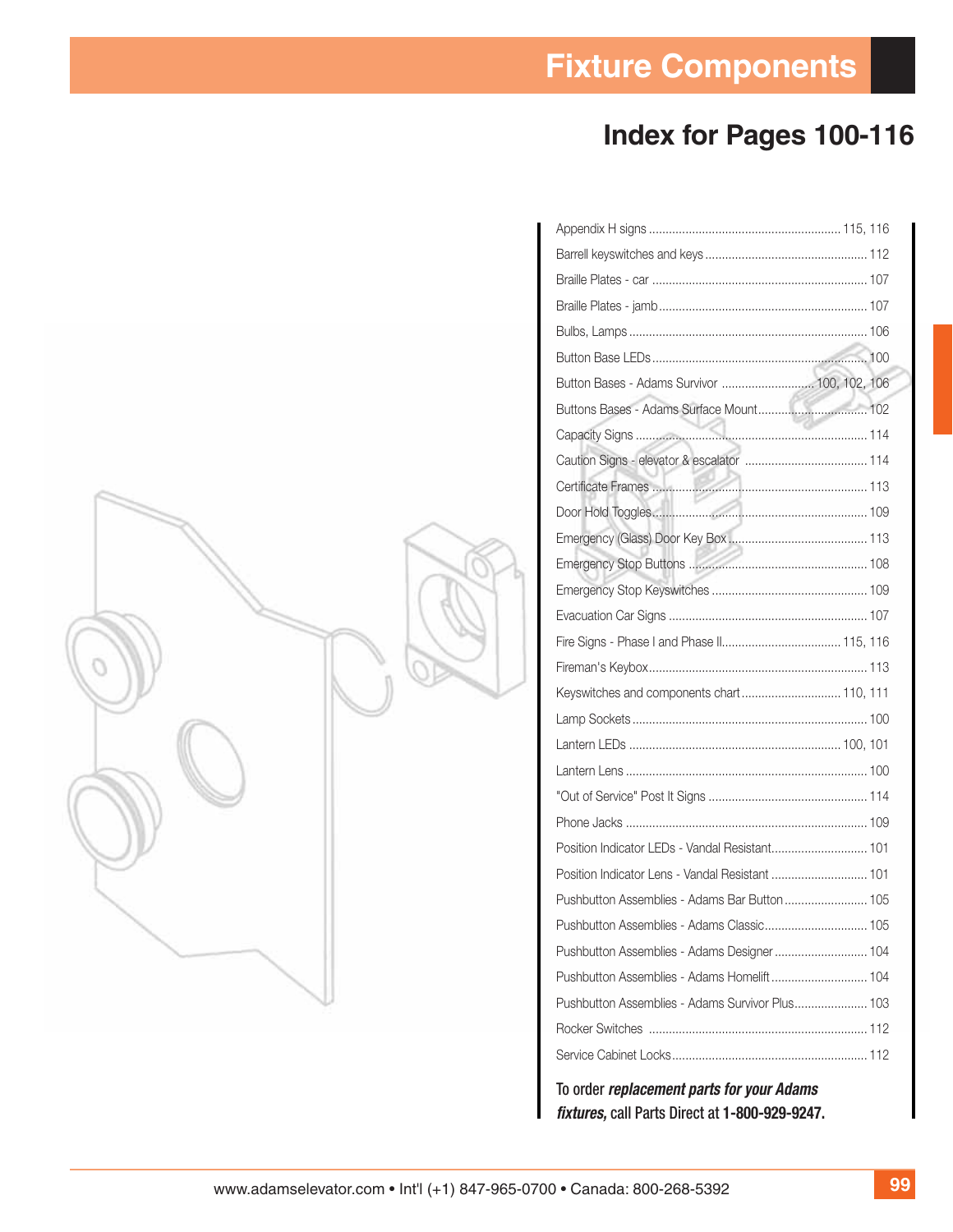# **Index for Pages 100-116**

|  | Button Bases - Adams Survivor  100, 102, 106    |  |
|--|-------------------------------------------------|--|
|  | Buttons Bases - Adams Surface Mount 102         |  |
|  |                                                 |  |
|  |                                                 |  |
|  |                                                 |  |
|  |                                                 |  |
|  |                                                 |  |
|  |                                                 |  |
|  |                                                 |  |
|  |                                                 |  |
|  |                                                 |  |
|  |                                                 |  |
|  | Keyswitches and components chart 110, 111       |  |
|  |                                                 |  |
|  |                                                 |  |
|  |                                                 |  |
|  |                                                 |  |
|  |                                                 |  |
|  | Position Indicator LEDs - Vandal Resistant 101  |  |
|  |                                                 |  |
|  | Pushbutton Assemblies - Adams Bar Button 105    |  |
|  |                                                 |  |
|  |                                                 |  |
|  | Pushbutton Assemblies - Adams Homelift 104      |  |
|  | Pushbutton Assemblies - Adams Survivor Plus 103 |  |
|  |                                                 |  |
|  |                                                 |  |
|  |                                                 |  |

To order *replacement parts for your Adams fi xtures,* call Parts Direct at **1-800-929-9247.**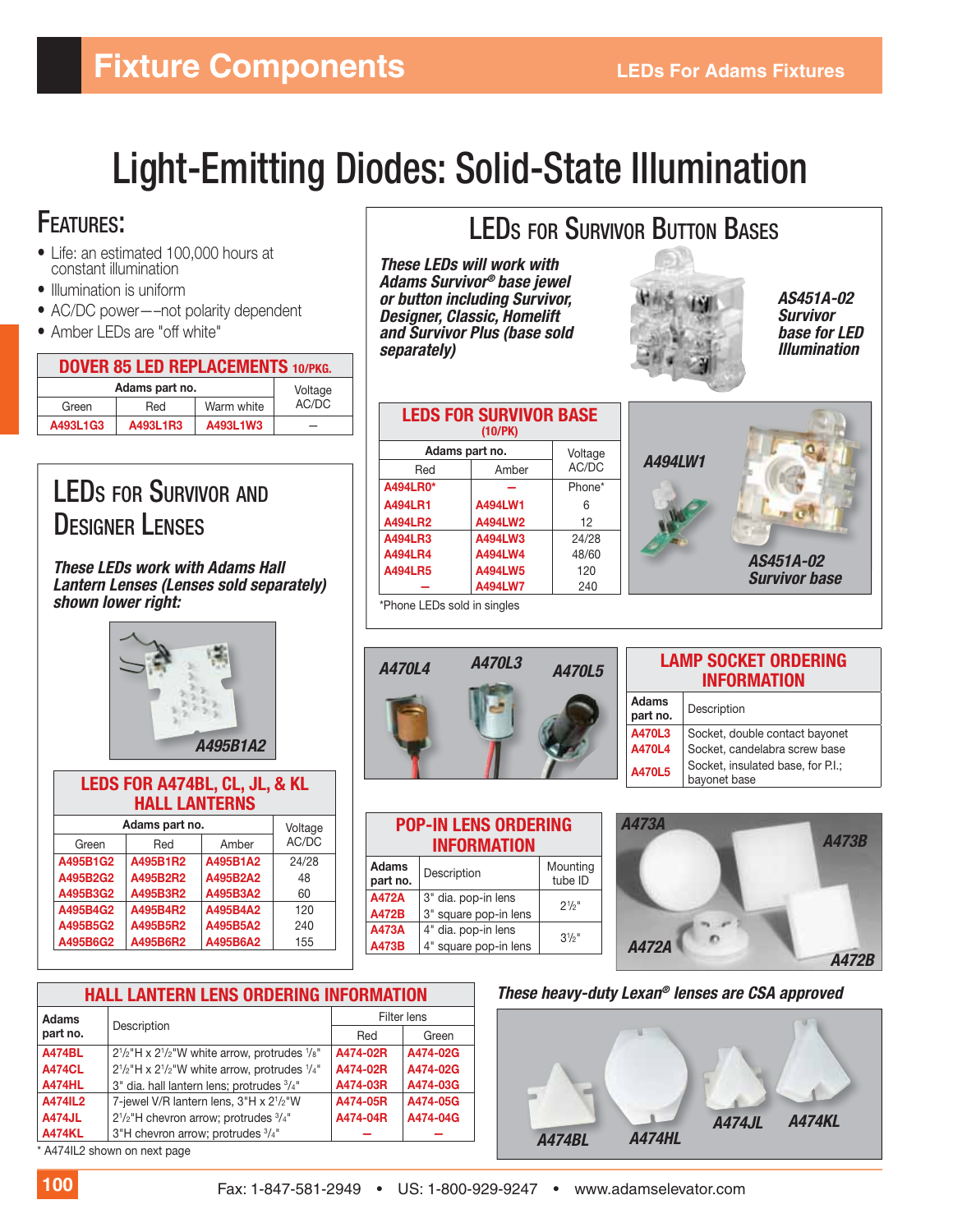# Light-Emitting Diodes: Solid-State Illumination

## FEATURES:

- Life: an estimated 100,000 hours at constant illumination
- Illumination is uniform
- AC/DC power—–not polarity dependent
- Amber LEDs are "off white"

| <b>DOVER 85 LED REPLACEMENTS 10/PKG.</b> |          |            |       |  |
|------------------------------------------|----------|------------|-------|--|
| Adams part no.                           | Voltage  |            |       |  |
| Green                                    | Red      | Warm white | AC/DC |  |
| A493L1G3                                 | A493L1R3 | A493L1W3   |       |  |

# LEDS FOR SURVIVOR AND DESIGNER LENSES

*These LEDs work with Adams Hall Lantern Lenses (Lenses sold separately) shown lower right:*



| LEDS FOR A474BL, CL, JL, & KL<br><b>HALL LANTERNS</b> |                |          |         |  |
|-------------------------------------------------------|----------------|----------|---------|--|
|                                                       | Adams part no. |          | Voltage |  |
| Green                                                 | Red            | Amber    | AC/DC   |  |
| A495B1G2                                              | A495B1R2       | A495B1A2 | 24/28   |  |
| A495B2G2                                              | A495B2R2       | A495B2A2 | 48      |  |
| A495B3G2                                              | A495B3R2       | A495B3A2 | 60      |  |
| A495B4G2                                              | A495B4R2       | A495B4A2 | 120     |  |
| A495B5G2                                              | A495B5R2       | A495B5A2 | 240     |  |
| A495B6G2                                              | A495B6R2       | A495B6A2 | 155     |  |

# LEDS FOR SURVIVOR BUTTON BASES

*These LEDs will work with Adams Survivor® base jewel or button including Survivor, Designer, Classic, Homelift and Survivor Plus (base sold separately)*

Red Amber **A494LR0\* —** Phone\* **A494LR1 A494LW1** 6 **A494LR2 A494LW2** 12 **A494LR3 A494LW3** 24/28 **A494LR4 A494LW4** 48/60 **A494LR5 A494LW5** 120

**LEDS FOR SURVIVOR BASE (10/PK)**

**Adams part no.** Voltage

**— A494LW7** 240



*AS451A-02 Survivor base for LED Illumination*

| A494LW1                           |
|-----------------------------------|
|                                   |
|                                   |
| AS451A-02<br><b>Survivor base</b> |



\*Phone LEDs sold in singles

| <b>POP-IN LENS ORDERING</b><br><b>INFORMATION</b> |                                    |                |  |  |  |
|---------------------------------------------------|------------------------------------|----------------|--|--|--|
| <b>Adams</b><br>part no.                          | Mounting<br>Description<br>tube ID |                |  |  |  |
| <b>A472A</b>                                      | 3" dia. pop-in lens                | $2^{1/2}$ "    |  |  |  |
| <b>A472B</b>                                      | 3" square pop-in lens              |                |  |  |  |
| A473A                                             | 4" dia. pop-in lens                | $3\frac{1}{2}$ |  |  |  |
| A473B                                             | 4" square pop-in lens              |                |  |  |  |

#### **LAMP SOCKET ORDERING INFORMATION**

| Adams<br>part no. | Description                                                                                                                                                    |
|-------------------|----------------------------------------------------------------------------------------------------------------------------------------------------------------|
|                   |                                                                                                                                                                |
|                   |                                                                                                                                                                |
| <b>A470L5</b>     | <b>A470L3</b> Socket, double contact bayonet<br><b>A470L4</b> Socket, candelabra screw base<br><b>A470L5</b> Socket, insulated base, for P.I.;<br>bayonet base |



| These heavy-duty Lexan® lenses are CSA approved |  |  |
|-------------------------------------------------|--|--|
|-------------------------------------------------|--|--|



| <b>HALL LANTERN LENS ORDERING INFORMATION</b> |                                                               |          |             |  |
|-----------------------------------------------|---------------------------------------------------------------|----------|-------------|--|
| <b>Adams</b>                                  |                                                               |          | Filter lens |  |
| part no.                                      | Description                                                   | Red      | Green       |  |
| <b>A474BL</b>                                 | $2^{1/2}$ "H x $2^{1/2}$ "W white arrow, protrudes $^{1}/8$ " | A474-02R | A474-02G    |  |
| <b>A474CL</b>                                 | $2^{1/2}$ "H x $2^{1/2}$ "W white arrow, protrudes $^{1/4}$ " | A474-02R | A474-02G    |  |
| <b>A474HL</b>                                 | 3" dia. hall lantern lens; protrudes 3/4"                     | A474-03R | A474-03G    |  |
| A474IL2                                       | 7-jewel V/R lantern lens, 3"H x 21/2"W                        | A474-05R | A474-05G    |  |
| <b>A474JL</b>                                 | $2^{1}/2$ "H chevron arrow; protrudes $3/4$ "                 | A474-04R | A474-04G    |  |
| <b>A474KL</b>                                 | 3"H chevron arrow; protrudes 3/4"                             |          |             |  |

A474IL2 shown on next page

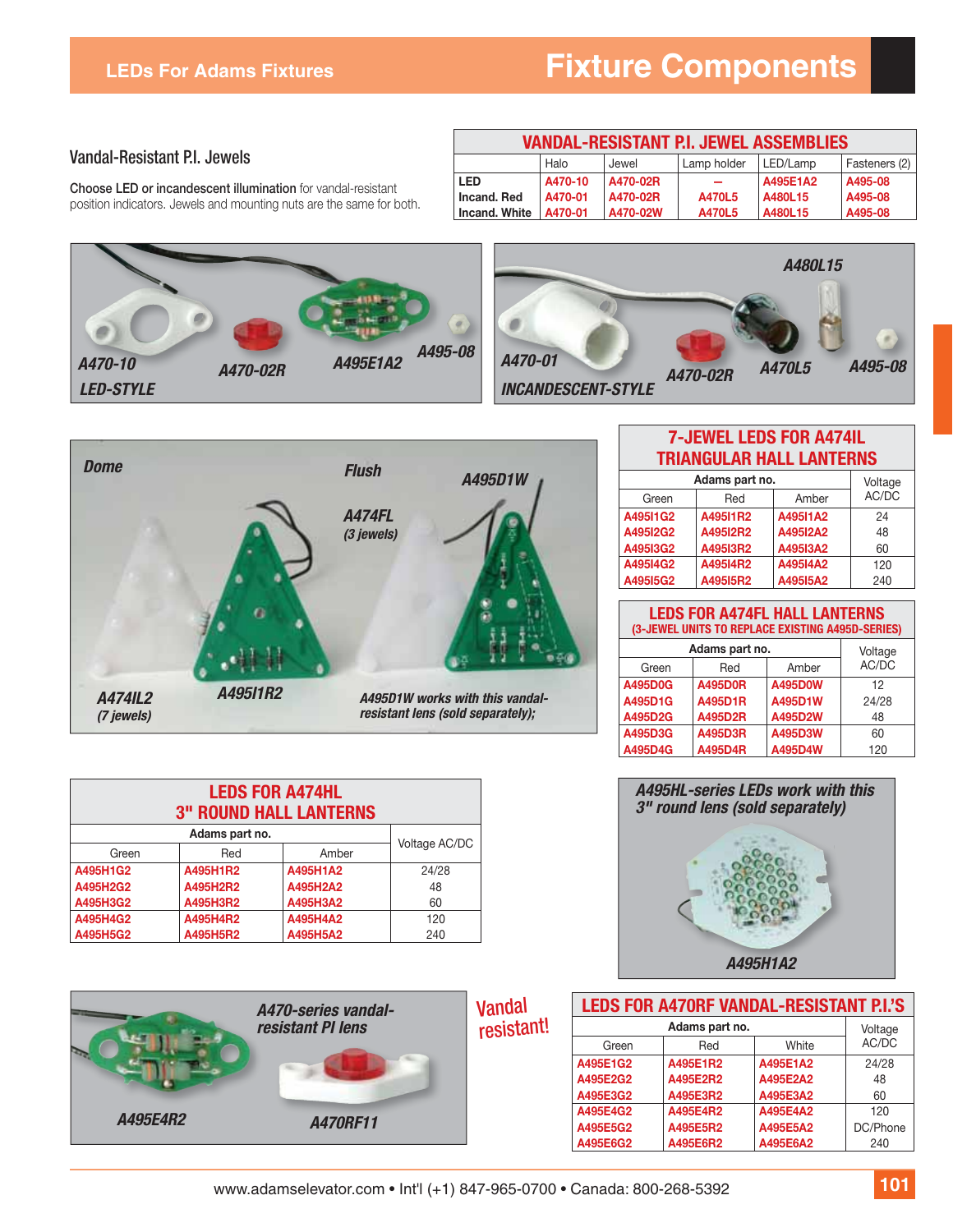#### Vandal-Resistant P.I. Jewels

**Choose LED or incandescent illumination** for vandal-resistant position indicators. Jewels and mounting nuts are the same for both.

| VANDAL-RESISTANT P.I. JEWEL ASSEMBLIES                    |         |          |        |          |         |
|-----------------------------------------------------------|---------|----------|--------|----------|---------|
| Halo<br>Lamp holder<br>Fasteners (2)<br>LED/Lamp<br>Jewel |         |          |        |          |         |
| <b>LED</b>                                                | A470-10 | A470-02R |        | A495E1A2 | A495-08 |
| Incand, Red                                               | A470-01 | A470-02R | A470L5 | A480L15  | A495-08 |
| Incand, White                                             | A470-01 | A470-02W | A470L5 | A480L15  | A495-08 |







| <b>LEDS FOR A474HL</b><br><b>3" ROUND HALL LANTERNS</b> |                |          |               |  |
|---------------------------------------------------------|----------------|----------|---------------|--|
|                                                         | Adams part no. |          | Voltage AC/DC |  |
| Green                                                   | Red            | Amber    |               |  |
| A495H1G2                                                | A495H1R2       | A495H1A2 | 24/28         |  |
| A495H2G2                                                | A495H2R2       | A495H2A2 | 48            |  |
| A495H3G2                                                | A495H3R2       | A495H3A2 | 60            |  |
| A495H4G2                                                | A495H4R2       | A495H4A2 | 120           |  |
| A495H5G2                                                | A495H5R2       | A495H5A2 | 240           |  |



#### **7-JEWEL LEDS FOR A474IL TRIANGULAR HALL LANTERNS**

| Adams part no. | Voltage  |          |       |
|----------------|----------|----------|-------|
| Green          | Red      | Amber    | AC/DC |
| A49511G2       | A49511R2 | A49511A2 | 24    |
| A49512G2       | A49512R2 | A49512A2 | 48    |
| A49513G2       | A49513R2 | A49513A2 | 60    |
| A49514G2       | A49514R2 | A49514A2 | 120   |
| A49515G2       | A49515R2 | A49515A2 | 240   |

#### **LEDS FOR A474FL HALL LANTERNS (3-JEWEL UNITS TO REPLACE EXISTING A495D-SERIES)**

| Adams part no.        |                |         | Voltage |
|-----------------------|----------------|---------|---------|
| Amber<br>Red<br>Green |                |         | AC/DC   |
| A495D0G               | <b>A495D0R</b> | A495D0W | 12      |
| A495D1G               | A495D1R        | A495D1W | 24/28   |
| A495D2G               | A495D2R        | A495D2W | 48      |
| A495D3G               | A495D3R        | A495D3W | 60      |
| A495D4G               | A495D4R        | A495D4W | 120     |



| <b>LEDS FOR A470RF VANDAL-RESISTANT P.I.'S</b> |                |          |          |
|------------------------------------------------|----------------|----------|----------|
|                                                | Adams part no. |          |          |
| Green                                          | Red            | White    | AC/DC    |
| A495E1G2                                       | A495E1R2       | A495E1A2 | 24/28    |
| A495E2G2                                       | A495E2R2       | A495E2A2 | 48       |
| A495E3G2                                       | A495E3R2       | A495E3A2 | 60       |
| A495E4G2                                       | A495E4R2       | A495E4A2 | 120      |
| A495E5G2                                       | A495E5R2       | A495E5A2 | DC/Phone |
| A495E6G2                                       | A495E6R2       | A495E6A2 | 240      |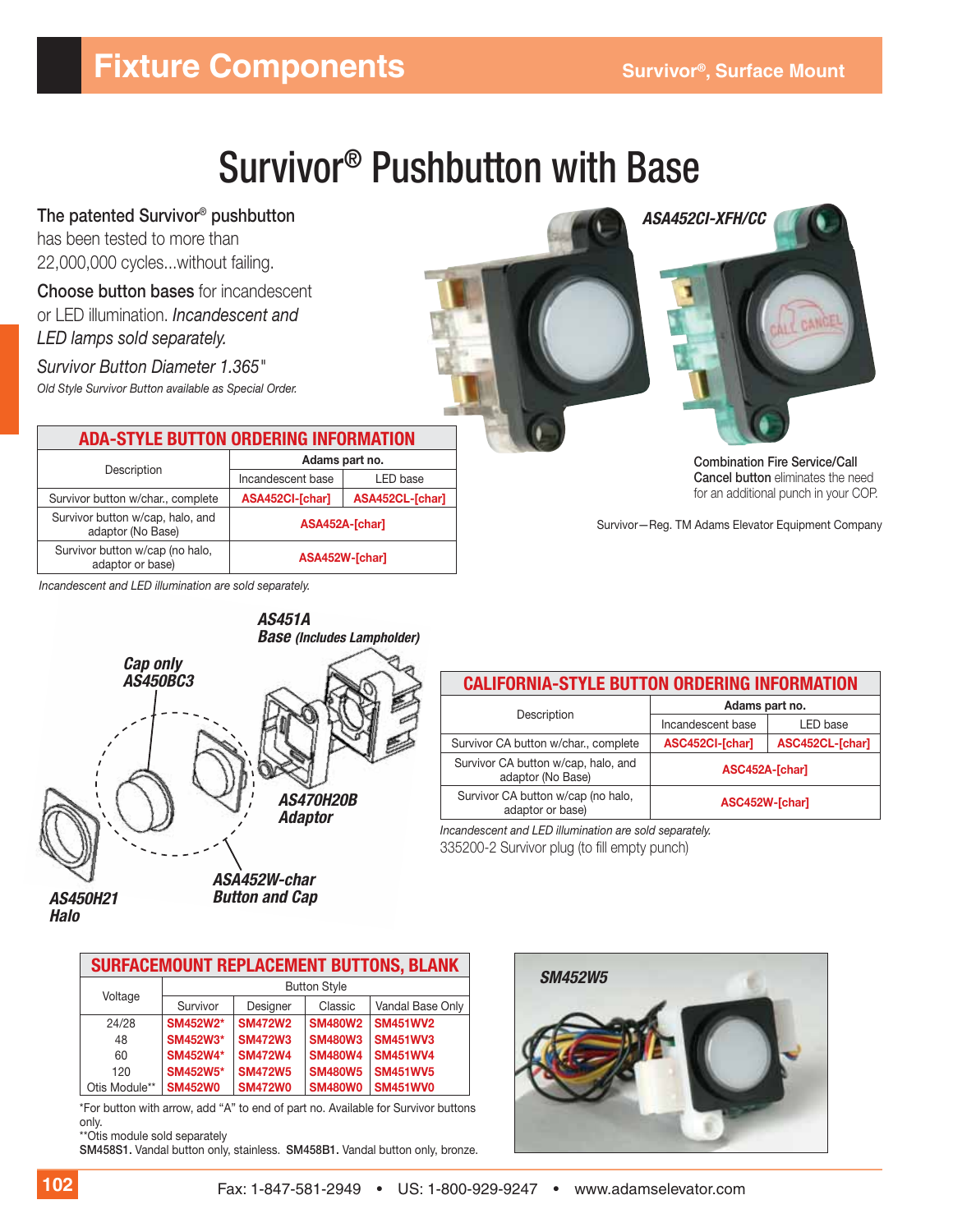# **Fixture Components** Survivor®, Surface Mount

# Survivor® Pushbutton with Base

**The patented Survivor® pushbutton** has been tested to more than 22,000,000 cycles...without failing.

**Choose button bases** for incandescent or LED illumination. *Incandescent and LED lamps sold separately.*

*Survivor Button Diameter 1.365" Old Style Survivor Button available as Special Order.*

#### **ADA-STYLE BUTTON ORDERING INFORMATION**

| Description                                           |                   | Adams part no.  |
|-------------------------------------------------------|-------------------|-----------------|
|                                                       | Incandescent base | LED base        |
| Survivor button w/char., complete                     | ASA452CI-[char]   | ASA452CL-[char] |
| Survivor button w/cap, halo, and<br>adaptor (No Base) | ASA452A-[char]    |                 |
| Survivor button w/cap (no halo,<br>adaptor or base)   | ASA452W-[char]    |                 |

*Incandescent and LED illumination are sold separately.*



| <b>CALIFORNIA-STYLE BUTTON ORDERING INFORMATION</b>      |                   |                 |  |
|----------------------------------------------------------|-------------------|-----------------|--|
|                                                          | Adams part no.    |                 |  |
| Description                                              | Incandescent base | LED base        |  |
| Survivor CA button w/char., complete                     | ASC452CI-[char]   | ASC452CL-[char] |  |
| Survivor CA button w/cap, halo, and<br>adaptor (No Base) | ASC452A-[char]    |                 |  |
| Survivor CA button w/cap (no halo,<br>adaptor or base)   | ASC452W-[char]    |                 |  |
|                                                          |                   |                 |  |

*Incandescent and LED illumination are sold separately.* 335200-2 Survivor plug (to fill empty punch)

*Halo*

*Button and Cap*

| <b>SURFACEMOUNT REPLACEMENT BUTTONS, BLANK</b> |                     |                |                |                  |
|------------------------------------------------|---------------------|----------------|----------------|------------------|
|                                                | <b>Button Style</b> |                |                |                  |
| Voltage                                        | Survivor            | Designer       | Classic        | Vandal Base Only |
| 24/28                                          | SM452W2*            | <b>SM472W2</b> | <b>SM480W2</b> | <b>SM451WV2</b>  |
| 48                                             | SM452W3*            | <b>SM472W3</b> | <b>SM480W3</b> | <b>SM451WV3</b>  |
| 60                                             | SM452W4*            | <b>SM472W4</b> | <b>SM480W4</b> | <b>SM451WV4</b>  |
| 120                                            | <b>SM452W5*</b>     | <b>SM472W5</b> | <b>SM480W5</b> | <b>SM451WV5</b>  |
| Otis Module**                                  | <b>SM452W0</b>      | <b>SM472W0</b> | <b>SM480W0</b> | <b>SM451WV0</b>  |

\*For button with arrow, add "A" to end of part no. Available for Survivor buttons only.

\*\*Otis module sold separately

**SM458S1.** Vandal button only, stainless. **SM458B1.** Vandal button only, bronze.





**Combination Fire Service/Call Cancel button** eliminates the need for an additional punch in your COP.

Survivor—Reg. TM Adams Elevator Equipment Company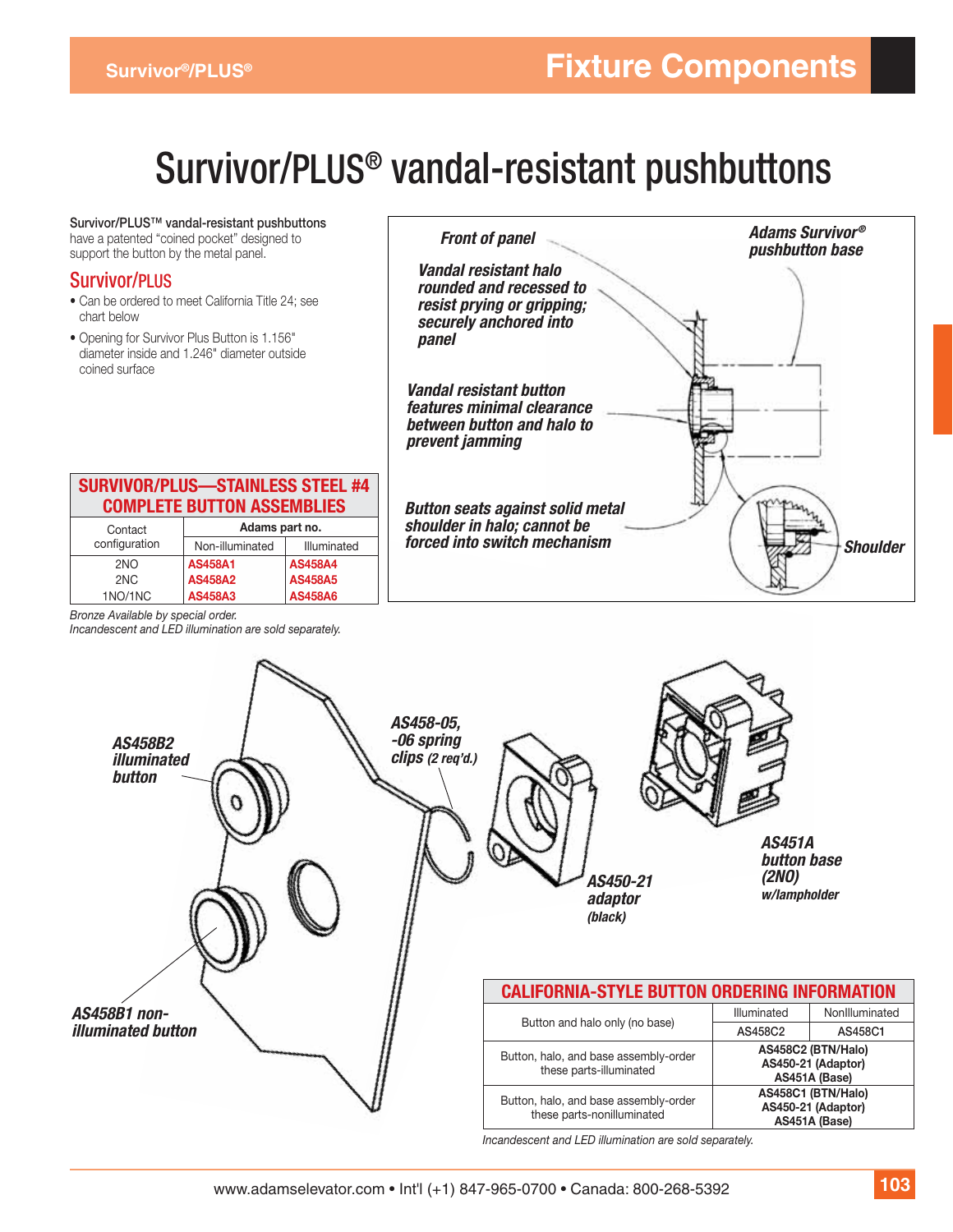# Survivor/PLUS® vandal-resistant pushbuttons

**Survivor/PLUS™ vandal-resistant pushbuttons** have a patented "coined pocket" designed to support the button by the metal panel.

#### Survivor/PLUS

- Can be ordered to meet California Title 24; see chart below
- Opening for Survivor Plus Button is 1.156" diameter inside and 1.246" diameter outside coined surface

| <b>Front of panel</b>                                                                                  | <b>Adams Survivor®</b><br>pushbutton base |
|--------------------------------------------------------------------------------------------------------|-------------------------------------------|
| Vandal resistant halo<br>rounded and recessed to<br>resist prying or gripping;                         |                                           |
| securely anchored into<br>panel                                                                        |                                           |
| Vandal resistant button<br>features minimal clearance<br>between button and halo to<br>prevent jamming |                                           |
| <b>Button seats against solid metal</b><br>shoulder in halo; cannot be<br>forced into switch mechanism | <b>Shoulder</b>                           |

#### **SURVIVOR/PLUS—STAINLESS STEEL #4 COMPLETE BUTTON ASSEMBLIES**

| Contact         | Adams part no.  |                |  |
|-----------------|-----------------|----------------|--|
| configuration   | Non-illuminated | Illuminated    |  |
| 2 <sub>NO</sub> | <b>AS458A1</b>  | <b>AS458A4</b> |  |
| 2N <sub>C</sub> | <b>AS458A2</b>  | <b>AS458A5</b> |  |
| 1NO/1NC         | <b>AS458A3</b>  | <b>AS458A6</b> |  |

*Bronze Available by special order.*

*Incandescent and LED illumination are sold separately.*



*Incandescent and LED illumination are sold separately.*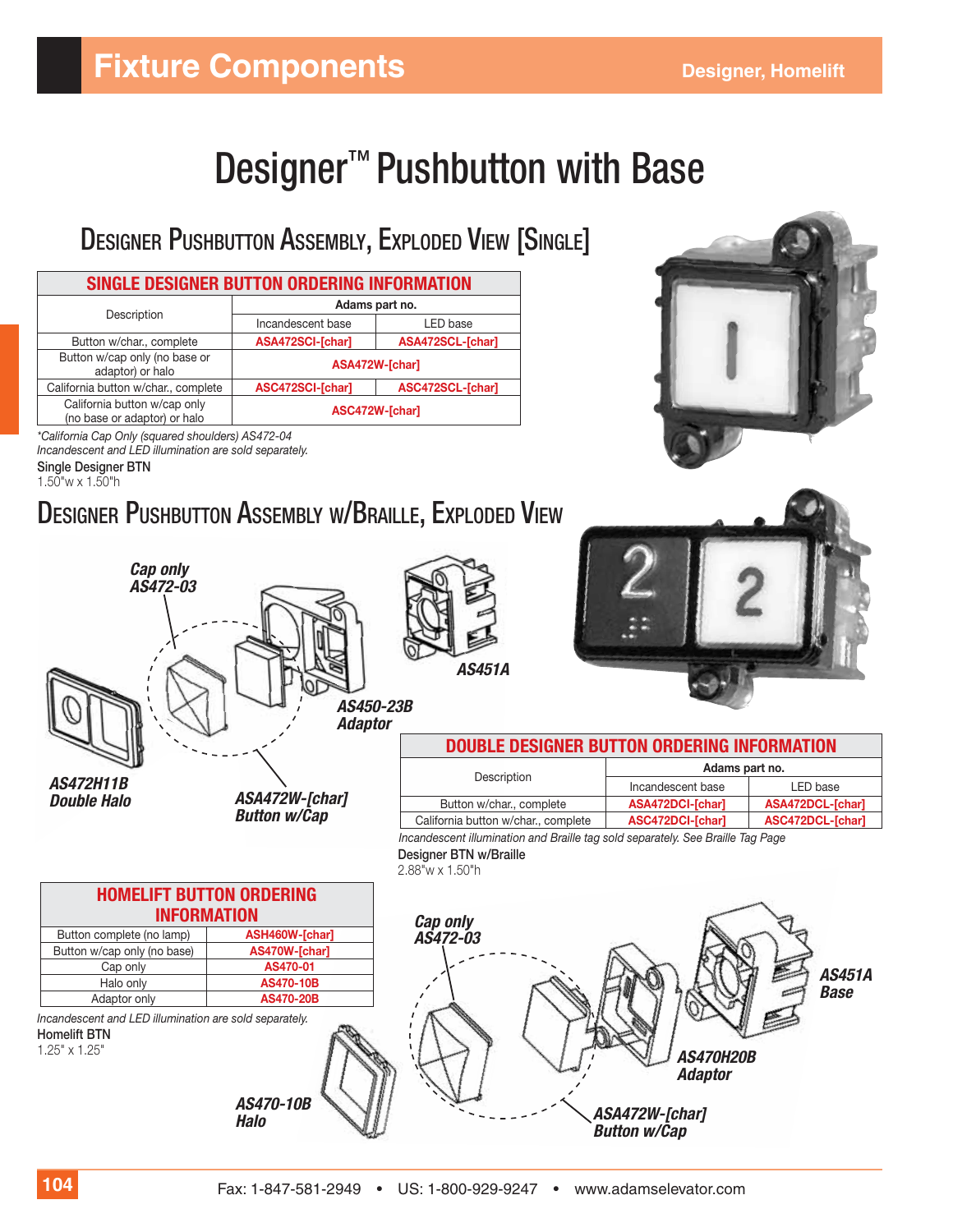# **Fixture Components Components Designer, Homelift**

# Designer<sup>™</sup> Pushbutton with Base

# DESIGNER PUSHBUTTON ASSEMBLY, EXPLODED VIEW [SINGLE]

| SINGLE DESIGNER BUTTON ORDERING INFORMATION                  |                   |                  |  |
|--------------------------------------------------------------|-------------------|------------------|--|
|                                                              | Adams part no.    |                  |  |
| Description                                                  | Incandescent base | LED base         |  |
| Button w/char., complete                                     | ASA472SCI-[char]  | ASA472SCL-[char] |  |
| Button w/cap only (no base or<br>adaptor) or halo            | ASA472W-[char]    |                  |  |
| California button w/char., complete                          | ASC472SCI-[char]  | ASC472SCL-[char] |  |
| California button w/cap only<br>(no base or adaptor) or halo | ASC472W-[char]    |                  |  |
|                                                              |                   |                  |  |

*\*California Cap Only (squared shoulders) AS472-04 Incandescent and LED illumination are sold separately.* **Single Designer BTN**

1.50"w x 1.50"h

# DESIGNER PUSHBUTTON ASSEMBLY W/BRAILLE, EXPLODED VIEW

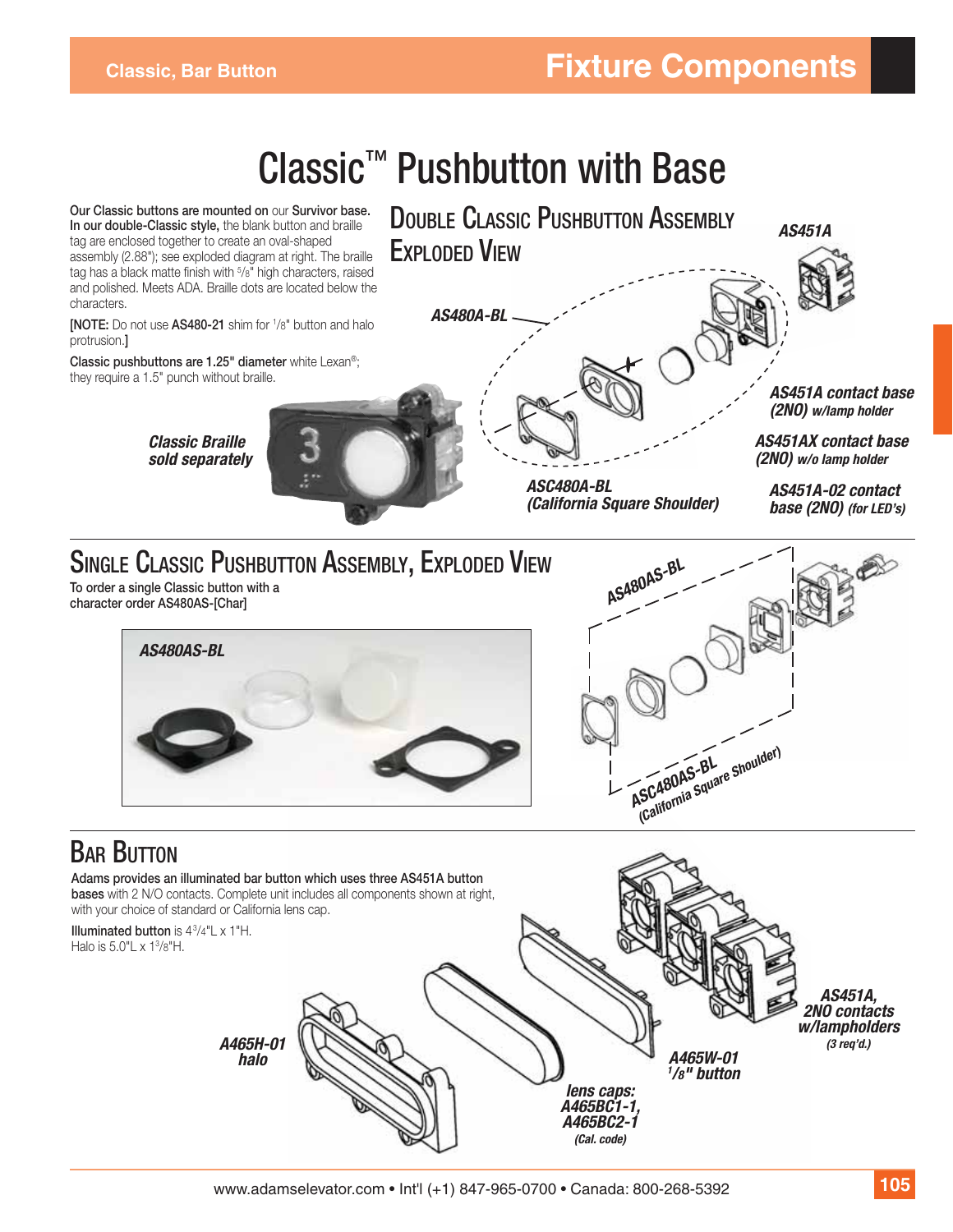# Classic™ Pushbutton with Base

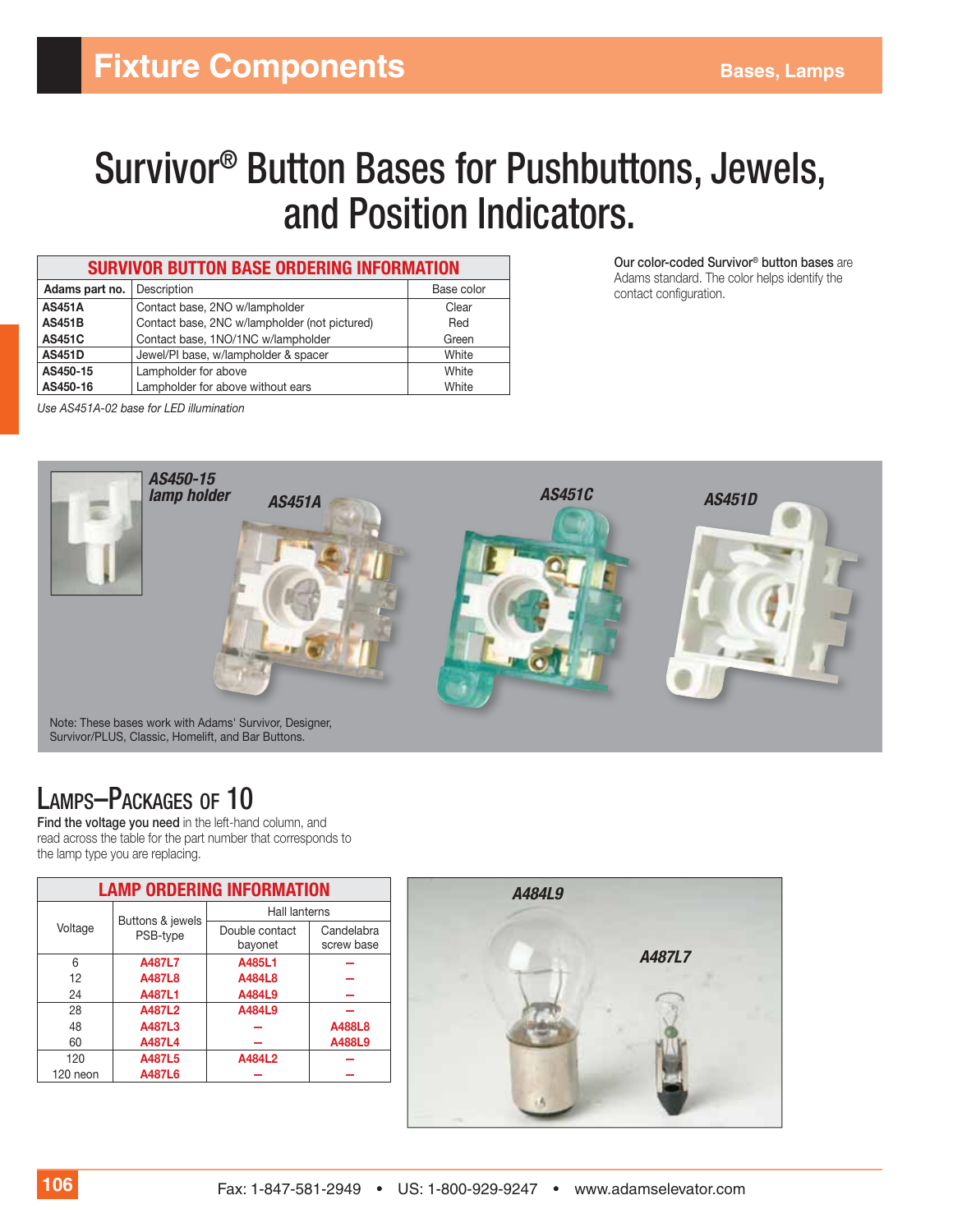# Survivor® Button Bases for Pushbuttons, Jewels, and Position Indicators.

| <b>SURVIVOR BUTTON BASE ORDERING INFORMATION</b> |                                               |            |  |
|--------------------------------------------------|-----------------------------------------------|------------|--|
| Adams part no.                                   | Description                                   | Base color |  |
| <b>AS451A</b>                                    | Contact base, 2NO w/lampholder                | Clear      |  |
| <b>AS451B</b>                                    | Contact base, 2NC w/lampholder (not pictured) | Red        |  |
| <b>AS451C</b>                                    | Contact base, 1NO/1NC w/lampholder            | Green      |  |
| <b>AS451D</b>                                    | Jewel/PI base, w/lampholder & spacer          | White      |  |
| AS450-15                                         | Lampholder for above                          | White      |  |
| AS450-16                                         | Lampholder for above without ears             | White      |  |

**Our color-coded Survivor® button bases** are Adams standard. The color helps identify the contact configuration.

*Use AS451A-02 base for LED illumination*



# LAMPS–PACKAGES OF 10

**Find the voltage you need** in the left-hand column, and read across the table for the part number that corresponds to the lamp type you are replacing.

| <b>LAMP ORDERING INFORMATION</b> |                              |                           |                          |
|----------------------------------|------------------------------|---------------------------|--------------------------|
|                                  |                              | Hall lanterns             |                          |
| Voltage                          | Buttons & jewels<br>PSB-type | Double contact<br>bayonet | Candelabra<br>screw base |
| 6                                | A487L7                       | A485L1                    |                          |
| 12                               | A487L8                       | A484L8                    |                          |
| 24                               | A487L1                       | A484L9                    |                          |
| 28                               | A487L2                       | A484L9                    |                          |
| 48                               | A487L3                       |                           | A488L8                   |
| 60                               | A487L4                       |                           | A488L9                   |
| 120                              | A487L5                       | A484L2                    |                          |
| 120 neon                         | A487L6                       |                           |                          |
|                                  |                              |                           |                          |

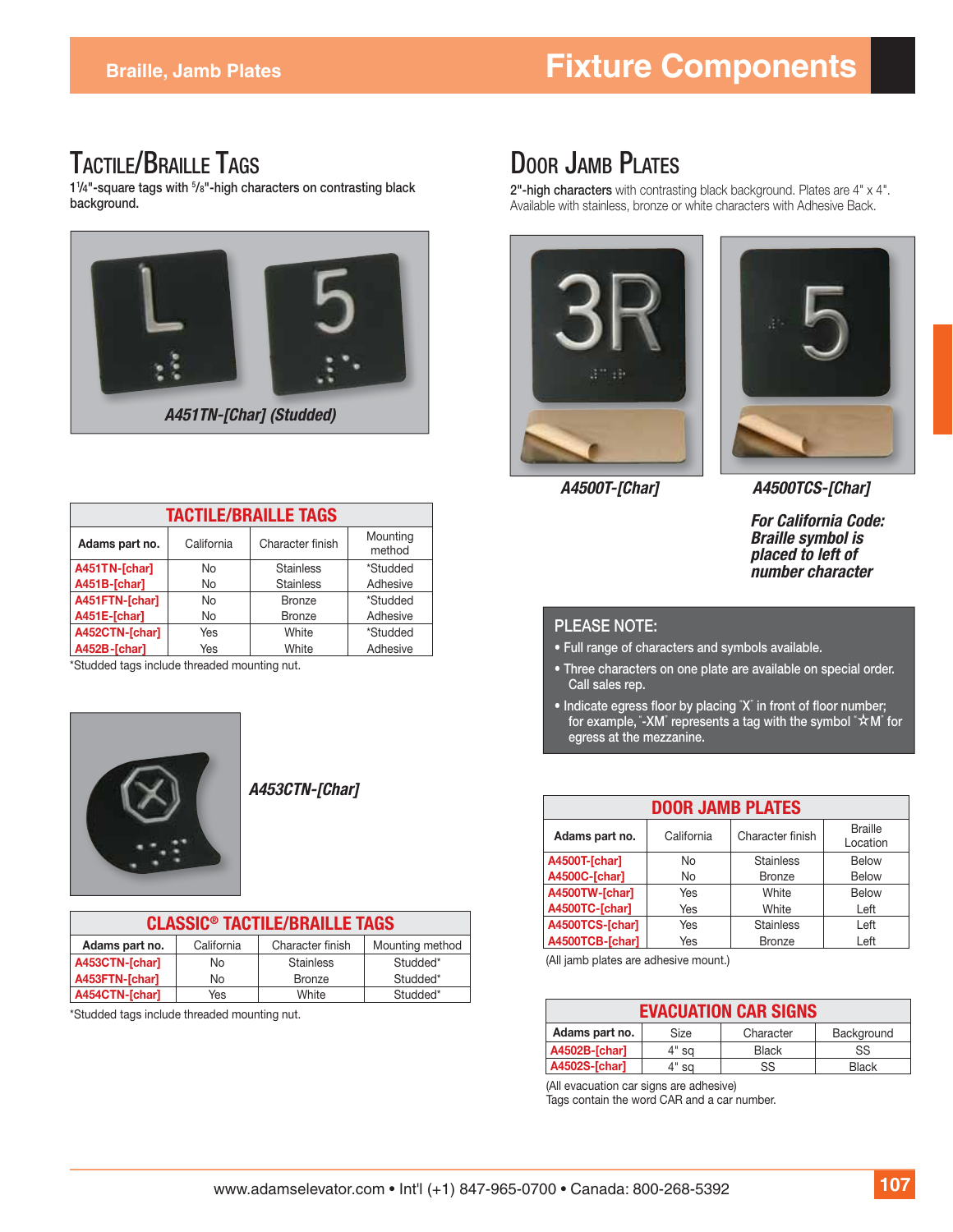## TACTILE/BRAILLE TAGS

**11 /4"-square tags with 5 /8"-high characters on contrasting black background.** 



| <b>TACTILE/BRAILLE TAGS</b> |            |                  |                    |
|-----------------------------|------------|------------------|--------------------|
| Adams part no.              | California | Character finish | Mounting<br>method |
| A451TN-[char]               | <b>No</b>  | <b>Stainless</b> | *Studded           |
| A451B-[char]                | <b>No</b>  | <b>Stainless</b> | Adhesive           |
| A451FTN-[char]              | <b>No</b>  | <b>Bronze</b>    | *Studded           |
| A451E-[char]                | <b>No</b>  | <b>Bronze</b>    | Adhesive           |
| A452CTN-[char]              | Yes        | White            | *Studded           |
| A452B-[char]                | Yes        | White            | Adhesive           |

\*Studded tags include threaded mounting nut.



*A453CTN-[Char]*

| <b>CLASSIC<sup>®</sup> TACTILE/BRAILLE TAGS</b>                     |     |                  |          |  |
|---------------------------------------------------------------------|-----|------------------|----------|--|
| Mounting method<br>California<br>Character finish<br>Adams part no. |     |                  |          |  |
| A453CTN-[char]                                                      | No  | <b>Stainless</b> | Studded* |  |
| A453FTN-[char]                                                      | No. | <b>Bronze</b>    | Studded* |  |
| A454CTN-[char]                                                      | Yes | White            | Studded* |  |

\* Studded tags include threaded mounting nut.

# DOOR JAMB PLATES

**2"-high characters** with contrasting black background. Plates are 4" x 4". Available with stainless, bronze or white characters with Adhesive Back.





*A4500T-[Char]*

*A4500TCS-[Char]*

*For California Code: Braille symbol is placed to left of number character*

#### **PLEASE NOTE:**

- **Full range of characters and symbols available.**
- **Three characters on one plate are available on special order. Call sales rep.**
- Indicate egress floor by placing "X" in front of floor number; **for example, "-XM" represents a tag with the symbol "★M" for egress at the mezzanine.**

| <b>DOOR JAMB PLATES</b> |            |                  |                            |
|-------------------------|------------|------------------|----------------------------|
| Adams part no.          | California | Character finish | <b>Braille</b><br>Location |
| A4500T-[char]           | No         | <b>Stainless</b> | <b>Below</b>               |
| A4500C-[char]           | No         | <b>Bronze</b>    | <b>Below</b>               |
| A4500TW-[char]          | Yes        | White            | <b>Below</b>               |
| A4500TC-[char]          | Yes        | White            | Left                       |
| A4500TCS-[char]         | Yes        | <b>Stainless</b> | Left                       |
| A4500TCB-[char]         | Yes        | <b>Bronze</b>    | Left                       |

(All jamb plates are adhesive mount.)

|                |       | <b>EVACUATION CAR SIGNS</b> |              |
|----------------|-------|-----------------------------|--------------|
| Adams part no. | Size  | Character                   | Background   |
| A4502B-[char]  | 4" sa | <b>Black</b>                | SS           |
| A4502S-[char]  | 4" sa | SS                          | <b>Black</b> |

(All evacuation car signs are adhesive)

Tags contain the word CAR and a car number.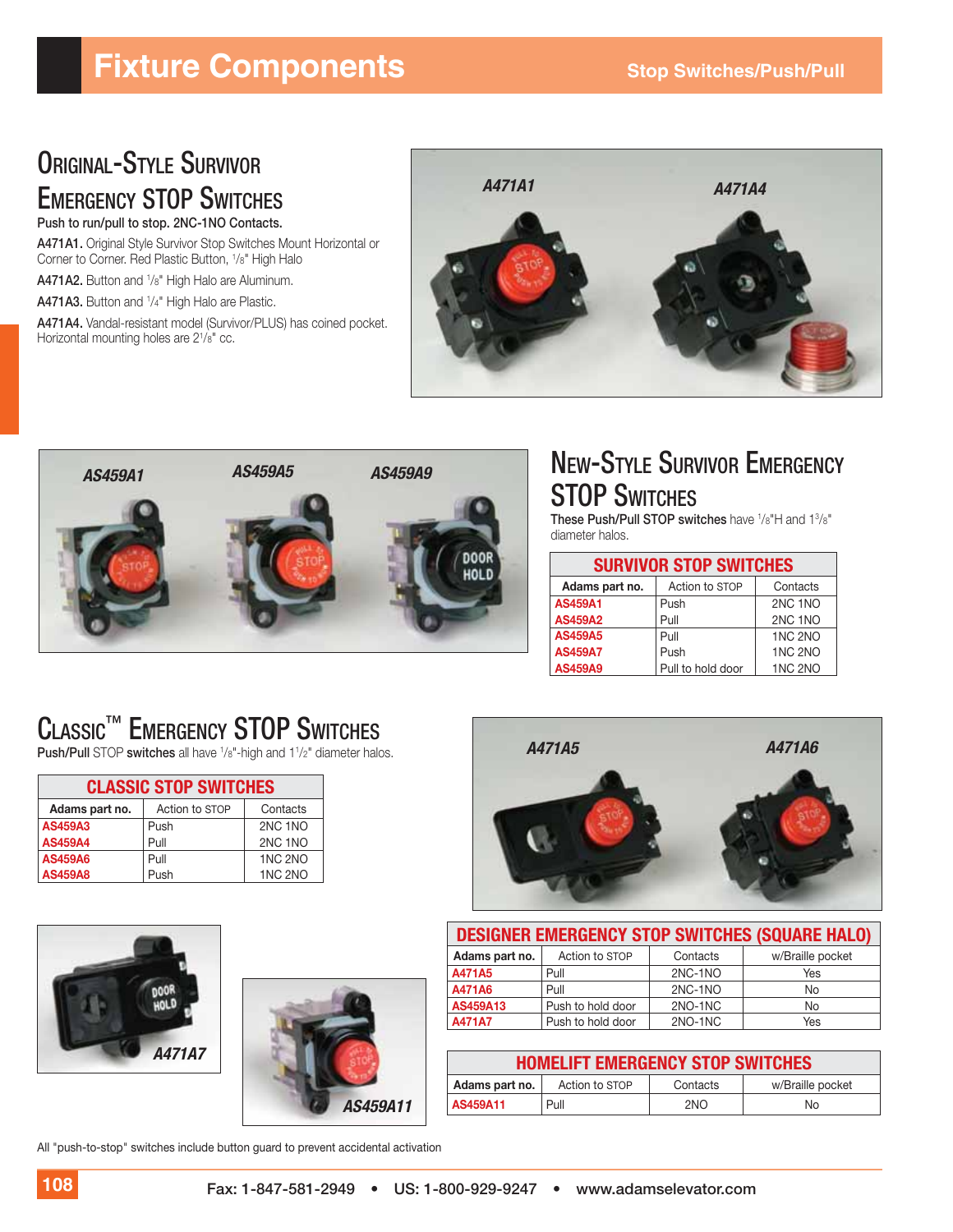# **Fixture Components** Stop Switches/Push/Pull

#### ORIGINAL-STYLE SURVIVOR EMERGENCY STOP SWITCHES **Push to run/pull to stop. 2NC-1NO Contacts.**

**A471A1.** Original Style Survivor Stop Switches Mount Horizontal or Corner to Corner. Red Plastic Button, 1 /8" High Halo

**A471A2.** Button and 1 /8" High Halo are Aluminum.

**A471A3.** Button and 1 /4" High Halo are Plastic.

**A471A4.** Vandal-resistant model (Survivor/PLUS) has coined pocket. Horizontal mounting holes are 21 /8" cc.





# NEW-STYLE SURVIVOR EMERGENCY **STOP SWITCHES**

**These Push/Pull STOP switches** have  $\frac{1}{8}$ "H and  $\frac{13}{8}$ " diameter halos.

|                | <b>SURVIVOR STOP SWITCHES</b> |                |
|----------------|-------------------------------|----------------|
| Adams part no. | Action to STOP                | Contacts       |
| <b>AS459A1</b> | Push                          | 2NC 1NO        |
| <b>AS459A2</b> | Pull                          | 2NC 1NO        |
| <b>AS459A5</b> | Pull                          | <b>1NC 2NO</b> |
| <b>AS459A7</b> | Push                          | <b>1NC 2NO</b> |
| <b>AS459A9</b> | Pull to hold door             | <b>1NC 2NO</b> |

# CLASSIC™ EMERGENCY STOP SWITCHES

**Push/Pull STOP switches all have <sup>1</sup>/8"-high and 1<sup>1</sup>/2" diameter halos. <b>A471A5** *A471A5* **A471A6** 

|                | <b>CLASSIC STOP SWITCHES</b> |                |
|----------------|------------------------------|----------------|
| Adams part no. | Action to STOP               | Contacts       |
| <b>AS459A3</b> | Push                         | 2NC 1NO        |
| <b>AS459A4</b> | Pull                         | 2NC 1NO        |
| <b>AS459A6</b> | Pull                         | <b>1NC 2NO</b> |
| <b>AS459A8</b> | Push                         | <b>1NC 2NO</b> |







|                | <b>HOMELIFT EMERGENCY STOP SWITCHES</b> |          |                  |
|----------------|-----------------------------------------|----------|------------------|
| Adams part no. | Action to STOP                          | Contacts | w/Braille pocket |
| AS459A11       | Pull                                    | 2NO      | No               |

All "push-to-stop" switches include button guard to prevent accidental activation

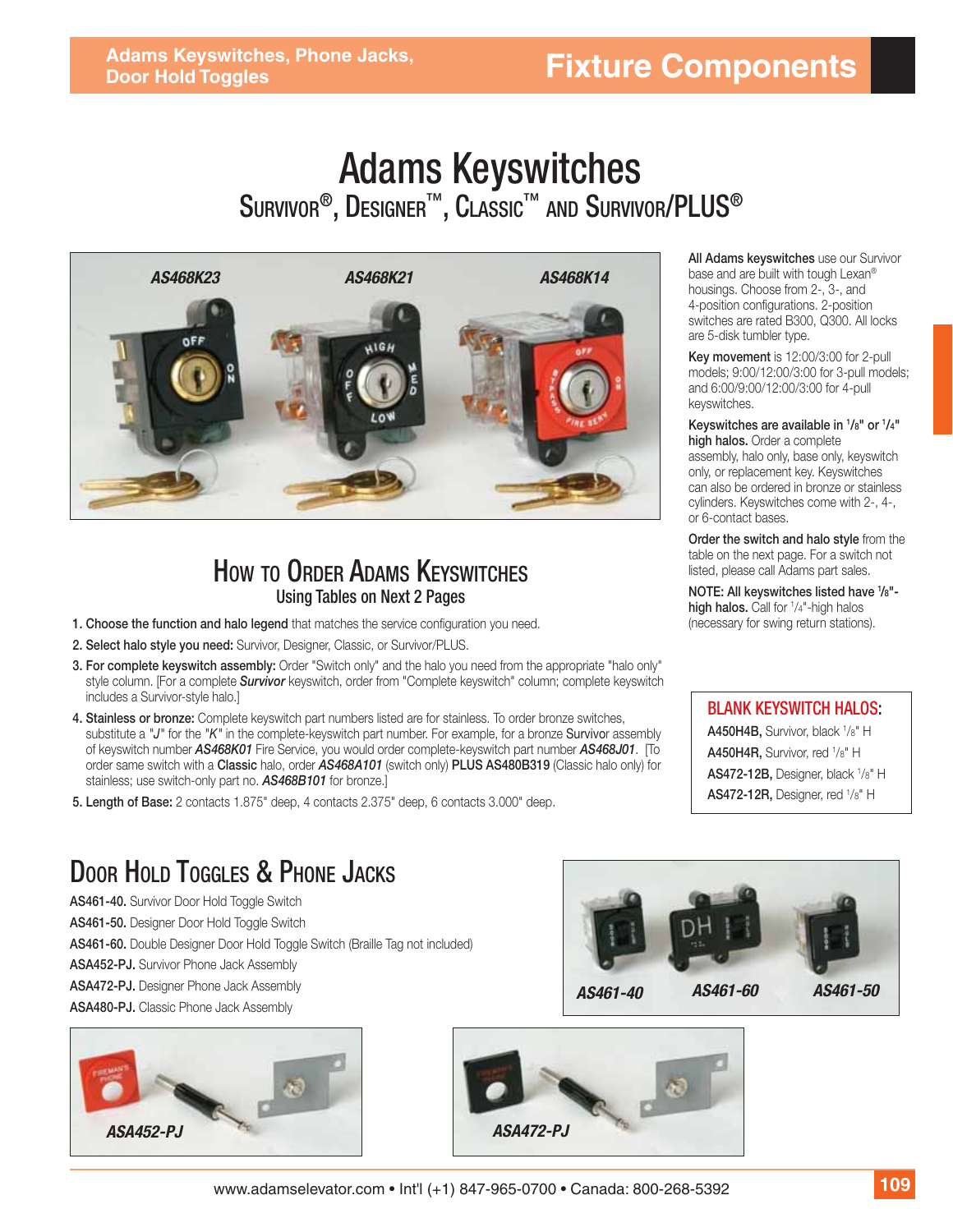# **Fixture Components**

# Adams Keyswitches  $\mathsf{S}$ urvivor®, Designer™, Classic™ and Survivor/PLUS®



#### HOW TO ORDER ADAMS KEYSWITCHES Using Tables on Next 2 Pages

- **1. Choose the function and halo legend** that matches the service configuration you need.
- **2. Select halo style you need:** Survivor, Designer, Classic, or Survivor/PLUS.
- **3. For complete keyswitch assembly:** Order "Switch only" and the halo you need from the appropriate "halo only" style column. [For a complete *Survivor* keyswitch, order from "Complete keyswitch" column; complete keyswitch includes a Survivor-style halo.]
- **4. Stainless or bronze:** Complete keyswitch part numbers listed are for stainless. To order bronze switches, substitute a *"J"* for the *"K"* in the complete-keyswitch part number. For example, for a bronze Survivor assembly of keyswitch number *AS468K01* Fire Service, you would order complete-keyswitch part number *AS468J01*. [To order same switch with a **Classic** halo, order *AS468A101* (switch only) **PLUS AS480B319** (Classic halo only) for stainless; use switch-only part no. *AS468B101* for bronze.]
- **5. Length of Base:** 2 contacts 1.875" deep, 4 contacts 2.375" deep, 6 contacts 3.000" deep.

#### **All Adams keyswitches** use our Survivor base and are built with tough Lexan® housings. Choose from 2-, 3-, and 4-position configurations. 2-position switches are rated B300, Q300. All locks are 5-disk tumbler type.

**Key movement** is 12:00/3:00 for 2-pull models; 9:00/12:00/3:00 for 3-pull models; and 6:00/9:00/12:00/3:00 for 4-pull keyswitches.

**Keyswitches are available in 1 /8" or 1 /4" high halos.** Order a complete assembly, halo only, base only, keyswitch only, or replacement key. Keyswitches can also be ordered in bronze or stainless cylinders. Keyswitches come with 2-, 4-, or 6-contact bases.

**Order the switch and halo style** from the table on the next page. For a switch not listed, please call Adams part sales.

**NOTE: All keyswitches listed have 1 /8" high halos.** Call for <sup>1</sup>/4"-high halos (necessary for swing return stations).

BLANK KEYSWITCH HALOS: **A450H4B,** Survivor, black 1 /8" H **A450H4R,** Survivor, red 1/8" H **AS472-12B,** Designer, black 1 /8" H **AS472-12R,** Designer, red <sup>1</sup>/8" H

# DOOR HOLD TOGGLES & PHONE JACKS

**AS461-40.** Survivor Door Hold Toggle Switch

**AS461-50.** Designer Door Hold Toggle Switch

**AS461-60.** Double Designer Door Hold Toggle Switch (Braille Tag not included)

**ASA452-PJ.** Survivor Phone Jack Assembly

**ASA472-PJ.** Designer Phone Jack Assembly

**ASA480-PJ.** Classic Phone Jack Assembly





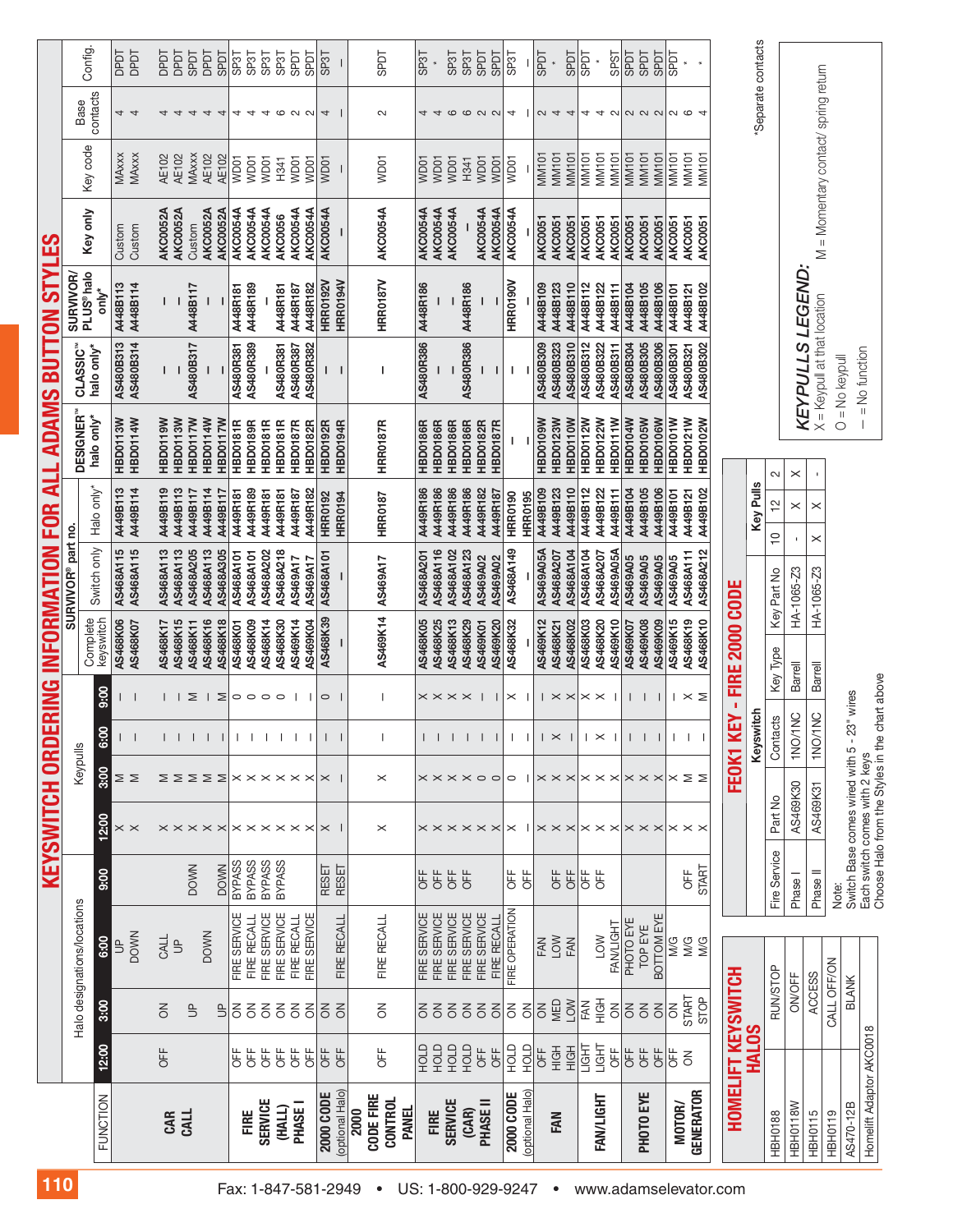|                       |                                              |                           |                         |                                        |                       | <b>KEYSWITCH ORD</b>                        |                                        |                              | ERING                             |                       | INFORMATION            | FOR                              | ₹        | <b>ADAMS</b>                        | <b>BUTI</b>                        | $\lambda$<br>$\mathbf{S}$       | <u>က</u>                             |                              |                            |                     |  |
|-----------------------|----------------------------------------------|---------------------------|-------------------------|----------------------------------------|-----------------------|---------------------------------------------|----------------------------------------|------------------------------|-----------------------------------|-----------------------|------------------------|----------------------------------|----------|-------------------------------------|------------------------------------|---------------------------------|--------------------------------------|------------------------------|----------------------------|---------------------|--|
| 110                   |                                              |                           |                         |                                        |                       |                                             |                                        |                              |                                   |                       | SURVIVOR® part no.     |                                  |          |                                     |                                    | <b>SURVIVOR</b>                 |                                      |                              |                            |                     |  |
|                       | <b>FUNCTION</b>                              | 12:00                     | 3:00                    | Halo designations/locations<br>6:00    | 00:6                  | <b>2:00</b>                                 | Keypulls<br>3:00                       | င့်                          | 00:6                              | Complete<br>keyswitch | Switch only            | Halo only*                       |          | DESIGNER <sup>"</sup><br>halo only* | CLASSIC <sup>"</sup><br>halo only* | PLUS <sup>®</sup> halo<br>only* | Key only                             | Key code                     | contacts<br>Base           | Config.             |  |
|                       |                                              |                           |                         | <b>DOWN</b><br>$\overline{\mathbb{B}}$ |                       | $\times$ $\times$                           | ∑ ≥                                    |                              |                                   | AS468K06<br>AS468K07  | AS468A115<br>AS468A115 | A449B113<br>A449B114             |          | <b>HBD0114W</b><br>HBD0113W         | AS480B314<br>AS480B313             | A448B113<br>A448B114            | Custom<br>Custom                     | <b>MAxxx</b><br>MAxxx        | $\overline{4}$<br>4        | <b>Lada</b><br>DPDT |  |
|                       |                                              |                           |                         |                                        |                       |                                             |                                        |                              |                                   |                       |                        |                                  |          |                                     |                                    |                                 |                                      |                              |                            |                     |  |
|                       | CAR<br>CALL                                  | OFF                       | $\leq$                  | CALL<br>$\overline{5}$                 |                       |                                             |                                        | $\mathbf{I}$                 |                                   | AS468K15<br>AS468K17  | AS468A113<br>AS468A113 | A449B119<br>A449B113             |          | HBD0119W<br><b>HBD0113W</b>         | н                                  |                                 | <b>AKC0052A</b><br>AKC0052A          | <b>AE102</b><br>AE102        | 4<br>$\overline{4}$        | DPDT<br><b>TGGQ</b> |  |
|                       |                                              |                           | $\overline{\mathbb{B}}$ |                                        | <b>DOWN</b>           |                                             |                                        |                              | Σ                                 | AS468K11              | AS468A205              | A449B117                         |          | <b>HBD0117W</b>                     | AS480B317                          | A448B117                        | Custom                               | <b>MAxxx</b>                 | $\overline{4}$             | <b>LIGGS</b>        |  |
|                       |                                              |                           | $\overline{5}$          | <b>DOWN</b>                            |                       | $\times\times\times\times\times$            | ⋝⋝⋝⋝                                   | $\perp$                      | Σ<br>-1                           | AS468K16              | AS468A113              | A449B114                         |          | HBD0114W                            |                                    |                                 | AKC0052A                             | <b>AE102</b>                 | $\overline{4}$             | <b>TGdQ</b>         |  |
|                       |                                              | <b>UFF</b>                | る                       | FIRE SERVICE                           | BYPASS<br><b>DOWN</b> |                                             |                                        | $\mathbf{I}$                 |                                   | AS468K18<br>AS468K01  | AS468A305<br>AS468A101 | A449R181<br>A449B117             |          | HBD0117W<br>HBD0181R                | AS480R381                          | A448R181                        | AKC0054A<br><b>AKC0052A</b>          | <b>AE102</b><br>WD01         | 4<br>4                     | <b>LGdS</b><br>SP3T |  |
|                       | FIRE                                         | OFF                       | $\overline{6}$          | FIRE RECALL                            | <b>BYPASS</b>         |                                             |                                        | 1 1 1 1 1 1                  | $\circ\circ\circ\circ$            | AS468K09              | AS468A101              | A449R189                         |          | HBD0189R                            | AS480R389                          | A448R189                        | AKC0054A                             | WD01                         | $\overline{\mathcal{A}}$   | SP <sub>3</sub> T   |  |
|                       | <b>SERVICE</b>                               | OFF                       | $\overline{6}$          | FIRE SERVICE                           | <b>BYPASS</b>         |                                             |                                        |                              |                                   | AS468K14              | AS468A202              | A449R181                         |          | HBD0181R                            |                                    |                                 | AKC0054A                             | WD01                         | $\overline{4}$             | SP <sub>3</sub> T   |  |
|                       | (HALL)                                       | <b>UFF</b>                | $\overline{6}$          | FIRE SERVICE                           | <b>BYPASS</b>         |                                             |                                        |                              |                                   | AS468K30              | AS468A218              | A449R181                         |          | HBD0181R                            | AS480R381                          | A448R181                        | <b>AKC0056</b>                       | H341                         |                            | SP <sub>3</sub> T   |  |
| Fax: 1-847-581-2949   | PHASE I                                      | <b>UFF</b><br><b>OFF</b>  | $\overline{6}$<br>る     | FIRE SERVICE<br>FIRE RECALL            |                       | $\times\times\times\times\times\times$      | $\times\times\times\times\times\times$ |                              | $\Box$                            | AS469K14<br>AS469K04  | AS469A17<br>AS469A17   | A449R182<br>A449R187             |          | <b>HBD0187R</b><br>HBD0182R         | AS480R387<br>AS480R382             | A448R182<br>A448R187            | AKC0054A<br>AKC0054A                 | WD01<br>WD01                 | $O$ $N$ $N$                | <b>LIGGS</b><br>1as |  |
|                       | <b>2000 CODE</b>                             | OFF                       | る                       |                                        | <b>RESET</b>          | $\times$                                    | $\times$ 1                             | $\mathsf I$                  | $\circ$                           | AS468K39              | AS468A101              | <b>HRR0192</b>                   |          | <b>HBD0192R</b>                     | Т                                  | HRR0192V                        | AKC0054A                             | WD01                         | 4                          | SP <sub>3T</sub>    |  |
|                       | (optional Halo)                              | UFF                       | $\epsilon$              | FIRE RECALL                            | <b>RESET</b>          |                                             |                                        | $\mathbf{I}$                 |                                   |                       |                        | <b>HRR0194</b>                   |          | HBD0194R                            | $\mathbf{I}$                       | HRR0194V                        |                                      |                              |                            |                     |  |
| $\bullet$             | CODE FIRE<br><b>CONTROL</b><br>PANEL<br>2000 | UFF                       | $\leq$                  | FIRE RECALL                            |                       | $\times$                                    | $\times$                               |                              |                                   | AS469K14              | AS469A17               | <b>HRR0187</b>                   |          | HRR0187R                            |                                    | HRR0187V                        | AKC0054A                             | WD01                         | 2                          | <b>LGdS</b>         |  |
|                       |                                              | GTOH                      | š                       | FIRE SERVICE                           | OFF                   |                                             |                                        |                              |                                   | AS468K05              | AS468A201              | A449R186                         |          | HBD0186R                            | AS480R386                          | A448R186                        | AKC0054A                             | WD01                         | 4                          | <b>SP3T</b>         |  |
|                       | FIRE                                         | <b>UDOH</b>               | $\overline{6}$          | FIRE SERVICE                           | OFF                   |                                             |                                        | $\mathbf{I}$                 |                                   | AS468K25              | AS468A116              | A449R186                         |          | HBD0186R                            |                                    |                                 | AKC0054A                             | WD01                         | $\overline{4}$             |                     |  |
|                       | <b>SERVICE</b>                               | <b>CTOH</b>               | 555                     | FIRE SERVICE                           | OFF                   |                                             |                                        | $\mathsf{I}$                 | $\times\times\times\times$        | AS468K13              | AS468A102              | A449R186                         |          | <b>HBD0186R</b>                     |                                    |                                 | AKC0054A                             | WD01                         |                            | SP <sub>3</sub> T   |  |
|                       | (CAR)                                        | HOLD                      |                         | FIRE SERVICE                           | <b>DFF</b>            |                                             |                                        | $\mathbf{I}$                 |                                   | AS468K29              | AS468A123              | A449R186                         |          | HBD0186R                            | AS480R386                          | A448R186                        |                                      | H341                         |                            | <b>SP3T</b>         |  |
|                       | PHASE II                                     | <b>UFF</b>                |                         | FIRE SERVICE                           |                       | $\times\times\times\times\times\times$      | $\times\times\times\times\circ$        | $\overline{\phantom{a}}$     |                                   | AS469K01              | AS469A02               | A449R182                         |          | HBD0182R                            |                                    |                                 | AKC0054A                             | WD01                         | <b>00000</b>               | <b>TGGS</b>         |  |
|                       | <b>2000 CODE</b>                             | <b>UFF</b>                | $\leq$                  | FIRE OPERATION<br>FIRE RECALL          |                       |                                             |                                        | $\mathsf{I}$                 |                                   | AS469K20<br>AS468K32  | AS468A149<br>AS469A02  | A449R187                         |          | HBD0187R                            |                                    |                                 | AKC0054A<br>AKC0054A                 | WD01                         |                            | <b>LIGHS</b>        |  |
| US: 1-800-929-9247    | (optional Halo)                              | HOLD<br><b>CTOH</b>       | š<br>$\overline{6}$     |                                        | ₽<br>바<br>이           | $\times$<br>-1                              | $\circ$                                | $\mathbf{I}$<br>$\mathbf{I}$ | $\times$                          |                       |                        | <b>HRR0195</b><br><b>HRR0190</b> |          |                                     | I.                                 | HRR0190V                        |                                      | WD01                         | 4                          | SP3T                |  |
|                       |                                              | <b>UFF</b>                | $\leq$                  | FAN                                    |                       |                                             |                                        |                              |                                   | AS469K12              | <b>AS469A05A</b>       | A449B109                         |          | HBD0109W                            | AS480B309                          | A448B109                        | <b>AKC0051</b>                       | <b>MM101</b>                 |                            | <b>TGGS</b>         |  |
|                       | FAN                                          | HộH<br>HIGH               | MED<br>NOT              | <b>NOT</b><br>FAN                      | OFF<br>出<br>OF        | $\times\times\times$                        | $\times\times\times$                   | $\vert x \rangle$            | $  \times \times   \times \times$ | AS468K02<br>AS468K21  | AS468A104<br>AS468A207 | A449B110<br>A449B123             |          | HBD0110W<br>HBD0123W                | AS480B310<br>AS480B323             | A448B110<br>A448B123            | <b>AKC0051</b><br><b>AKC0051</b>     | <b>MM101</b><br><b>MM101</b> | $\sim$ 4<br>$\overline{4}$ | <b>LIGHS</b>        |  |
|                       |                                              | LIGHT                     |                         |                                        | <b>DFF</b>            |                                             |                                        |                              |                                   | AS468K03              | AS468A104              | A449B112                         |          | <b>HBD0112W</b>                     | AS480B312                          | A448B112                        | <b>AKC0051</b>                       | MM101                        | 4                          | <b>TGAS</b>         |  |
|                       | FAN/LIGHT                                    | LIGHT                     | 준 <u>준</u>              | LOW                                    | <b>UFF</b>            | $\times \times \times \times \times \times$ | $\times \times \times$                 | $\vert \times$               |                                   | AS468K20              | AS468A207              | A449B122                         |          | <b>HBD0122W</b>                     | AS480B322                          | A448B122                        | <b>AKC0051</b>                       | MM101                        | 4                          |                     |  |
|                       |                                              | UFF                       | š                       | FAN/LIGHT                              |                       |                                             |                                        | $\perp$                      |                                   | AS469K10              | <b>AS469A05A</b>       | A449B111                         |          | HBD0111W                            | AS480B311                          | A448B111                        | <b>AKC0051</b>                       | MM101                        | $\sim$                     | <b>SPST</b>         |  |
|                       | PHOTO EYE                                    | OFF<br>OFF                | š<br>$\leq$             | PHOTO EYE<br>TOP EYE                   |                       |                                             | $\times\times\times$                   | $\mathsf{I}$<br>Т.           | $\perp$                           | AS469K08<br>AS469K07  | AS469A05<br>AS469A05   | A449B104<br>A449B105             |          | HBD0104W<br>HBD0105W                | AS480B304<br>AS480B305             | A448B104<br>A448B105            | <b>AKC0051</b><br><b>AKC0051</b>     | <b>MM101</b><br><b>MM101</b> | <b>QQQ</b>                 | <b>TGGS</b><br>SPDT |  |
|                       |                                              | OFF                       | w                       | BOTTOM EYE                             |                       |                                             |                                        |                              |                                   | AS469K09              | AS469A05               | A449B106                         |          | HBD0106W                            | AS480B306                          | A448B106                        | <b>AKC0051</b>                       | <b>MM101</b>                 |                            | <b>LGdS</b>         |  |
|                       | MOTOR/                                       | i⊧                        | š                       | ≫<br>MG                                |                       |                                             |                                        | л.                           |                                   | AS469K15              | AS469A05               | A449B101                         |          | HBD0101W                            | AS480B301                          | A448B101                        | <b>AKC0051</b>                       | MM101                        | $\sim$ $\circ$             | <b>TGSS</b>         |  |
| www.adamselevator.com | <b>GENERATOR</b>                             | $\leq$                    | START<br>STOP           | M/G<br>M/G                             | START<br>齿            | $\times\times\times$                        | $\times \geq \geq$                     | $\mathbf{I}$                 | $\vert \times \ge$                | AS468K19<br>AS468K10  | AS468A212<br>AS468A111 | A449B102<br>A449B121             |          | HBD0121W<br>HBD0102W                | AS480B302<br>AS480B321             | A448B102<br>A448B121            | <b>AKC0051</b><br>AKC0051            | MM101<br>MM101               | 4                          |                     |  |
|                       |                                              |                           |                         |                                        |                       |                                             |                                        |                              |                                   |                       |                        |                                  |          |                                     |                                    |                                 |                                      |                              |                            |                     |  |
|                       |                                              | <b>HOMELIFT KEYSWITCH</b> |                         |                                        |                       |                                             | FEOK1 K                                | 모                            | FIRE<br>J,                        | 2000 CODE             |                        |                                  |          |                                     |                                    |                                 |                                      |                              |                            |                     |  |
|                       |                                              | <b>HALOS</b>              |                         |                                        |                       |                                             |                                        | Keyswitch                    |                                   |                       |                        | Key Pulls                        |          |                                     |                                    |                                 |                                      |                              | "Separate contacts         |                     |  |
|                       | <b>HBH0188</b>                               |                           | <b>RUN/STOP</b>         |                                        | <b>Fire Service</b>   | Part No                                     |                                        | Contacts                     |                                   | Key Type              | Key Part No            | $\frac{1}{2}$<br>₽               | 2        |                                     |                                    |                                 |                                      |                              |                            |                     |  |
|                       | HBH0118W                                     |                           | <b>ON/OFF</b>           |                                        | <b>Phase</b>          | AS469K30                                    |                                        | $\frac{1}{2}$<br>1NO/1       | <b>Barrell</b>                    |                       | HA-1065-Z3             | $\times$                         | $\times$ |                                     |                                    | KEYPULLS LEGEND:                |                                      |                              |                            |                     |  |
|                       | <b>HBH0115</b>                               |                           | <b>ACCESS</b>           |                                        | Phase II              | AS469K31                                    |                                        | SNC<br>1NO/1                 | <b>Barrell</b>                    |                       | HA-1065-Z3             | $\times$<br>$\times$             |          |                                     |                                    |                                 |                                      |                              |                            |                     |  |
|                       |                                              |                           |                         |                                        |                       |                                             |                                        |                              |                                   |                       |                        |                                  |          |                                     | X = Keypull at that location       |                                 | M = Momentary contact/ spring return |                              |                            |                     |  |

|                      |                                                                          | <b>KEYPULLS LEGEND:</b>                   | X = Keypull at that location                               | $-$ = No function<br>$Q = No$ keypull                                                                                         |  |
|----------------------|--------------------------------------------------------------------------|-------------------------------------------|------------------------------------------------------------|-------------------------------------------------------------------------------------------------------------------------------|--|
|                      |                                                                          |                                           |                                                            |                                                                                                                               |  |
| cina Levi            |                                                                          |                                           |                                                            |                                                                                                                               |  |
|                      |                                                                          |                                           |                                                            |                                                                                                                               |  |
|                      | Fire Service   Part No   Contacts   Key Type   Key Part No   10   12   2 | AS469K30   1NO/1NC   Barrell   HA-1065-Z3 | Phase II AS469K31   1NO/1NC   Barrell   HA-1065-Z3   X   X |                                                                                                                               |  |
|                      |                                                                          |                                           |                                                            |                                                                                                                               |  |
| <b>Instingled on</b> |                                                                          |                                           |                                                            |                                                                                                                               |  |
|                      |                                                                          |                                           |                                                            | Choose Halo from the Styles in the chart above<br>Switch Base comes wired with 5 - 23" wires<br>Each switch comes with 2 keys |  |
|                      |                                                                          | Phase I                                   |                                                            | Note:                                                                                                                         |  |
|                      |                                                                          |                                           |                                                            |                                                                                                                               |  |

M = Momentary contact/ spring return

| <b>HOMELIFT KEYSWITCH</b><br><b>HALOS</b> | HBH0188         | HBH0118W      | <b>HBH0115</b> | <b>HBH0119</b> | AS470-12B    | Homelift Adaptor AKC0018 |
|-------------------------------------------|-----------------|---------------|----------------|----------------|--------------|--------------------------|
|                                           | <b>RUN/STOP</b> | <b>ON/OFF</b> | <b>ACCESS</b>  | CALL OFF/ON    | <b>BLANK</b> |                          |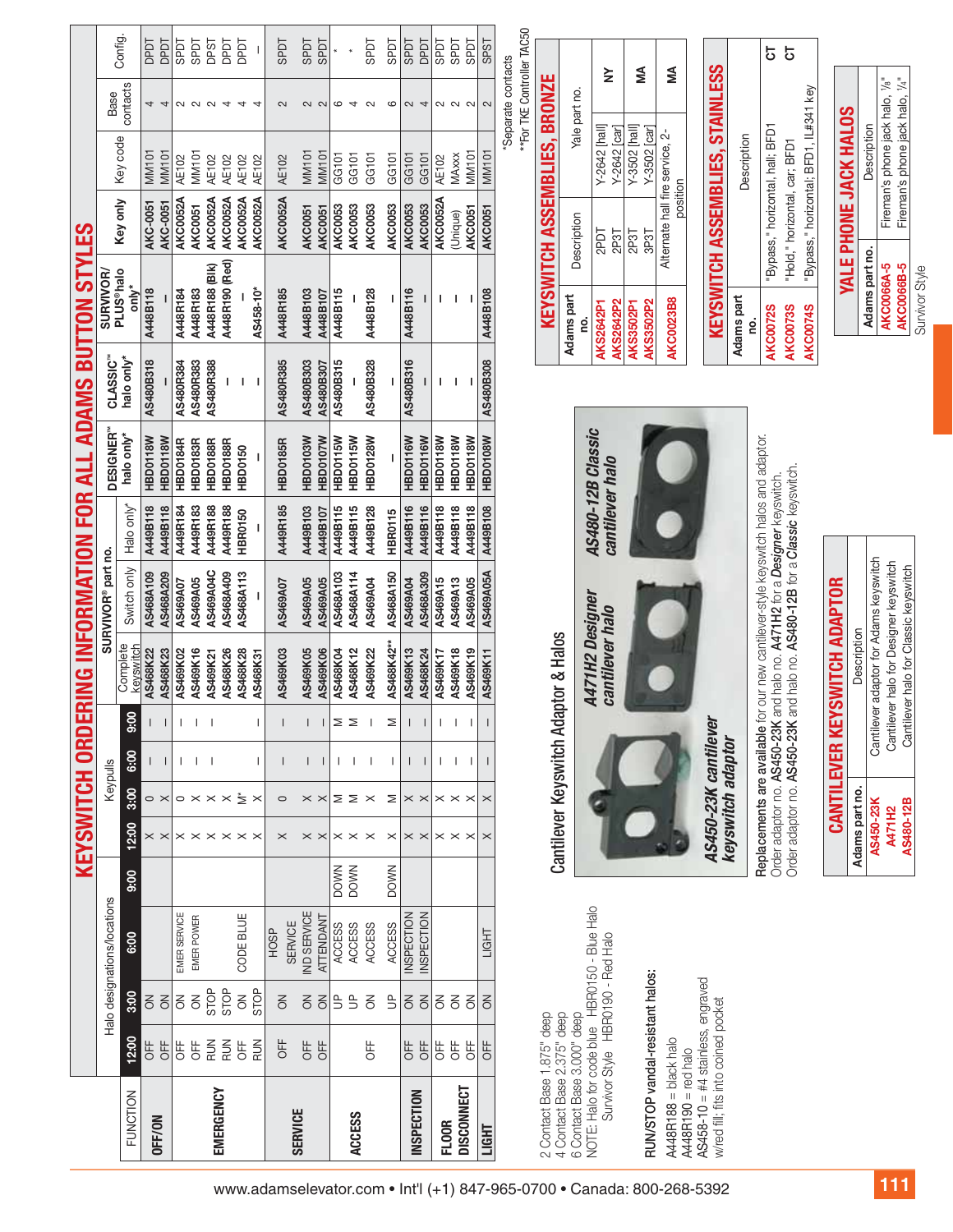|                                               |                                | Config.               | <b>TGdO</b><br><b>TGGO</b>            | <b>LGdS</b>  | <b>LIGGS</b>   | <b>DPST</b>                                                                        | TGdQ           | DPDT                                        |                 | 104S                          | <b>LGdS</b>                            | <b>LGdS</b>    |                                                | <b>TGGS</b>    | <b>1GdS</b>    | <b>LIGGS</b>      | <b>DPDT</b>                                               | <b>TGGS</b>    | <b>TGGS</b>                                   | <b>TGGS</b>    | SPST                 |                                                                        |                                     |                                                          |                                              |                                      |                                      |                                  |                                              |                                                                                     |                   | 5                                                                                                                                     | 5                                                |                                        |                  |                       |                                        |                                                                    |
|-----------------------------------------------|--------------------------------|-----------------------|---------------------------------------|--------------|----------------|------------------------------------------------------------------------------------|----------------|---------------------------------------------|-----------------|-------------------------------|----------------------------------------|----------------|------------------------------------------------|----------------|----------------|-------------------|-----------------------------------------------------------|----------------|-----------------------------------------------|----------------|----------------------|------------------------------------------------------------------------|-------------------------------------|----------------------------------------------------------|----------------------------------------------|--------------------------------------|--------------------------------------|----------------------------------|----------------------------------------------|-------------------------------------------------------------------------------------|-------------------|---------------------------------------------------------------------------------------------------------------------------------------|--------------------------------------------------|----------------------------------------|------------------|-----------------------|----------------------------------------|--------------------------------------------------------------------|
|                                               | Base                           | contacts              | 4<br>$\overline{4}$                   |              |                | $\begin{array}{c} 0 & 0 & 0 \\ 0 & 0 & 0 \\ 0 & 0 & 0 \\ 0 & 0 & 0 \\ \end{array}$ |                |                                             | $\overline{a}$  | $\sim$                        | $\sim$ $\sim$                          |                | 6<br>$\overline{4}$                            | $\sim$         | $\circ$        | $\sim$            | 4                                                         |                | $\begin{array}{c} 2 & 0 \\ 0 & 0 \end{array}$ |                | $\mathbf{\Omega}$    | **For TKE Controller TAC50<br>Separate contacts                        |                                     |                                                          |                                              | $\geq$                               | ⋚                                    |                                  | ≨                                            | <b>STAINLESS</b>                                                                    |                   |                                                                                                                                       |                                                  |                                        |                  |                       |                                        |                                                                    |
|                                               |                                |                       |                                       |              |                |                                                                                    |                |                                             |                 |                               |                                        |                |                                                |                |                |                   |                                                           |                |                                               |                |                      |                                                                        |                                     | Yale part no.                                            |                                              | Y-2642 [hall]<br>Y-2642 [car]        | Y-3502 [hall]<br>Y-3502 [car]        |                                  |                                              |                                                                                     |                   |                                                                                                                                       |                                                  |                                        |                  |                       | Description                            | Fireman's phone jack halo, 1/4"<br>Fireman's phone jack halo, 1/8" |
|                                               |                                | Key code              | MM101<br><b>MM101</b>                 | <b>AE102</b> | MM101          | <b>AE102</b>                                                                       | AE102          | AE102                                       | AE102           | <b>AE102</b>                  | <b>MM101</b>                           | <b>MM101</b>   | GG101<br>GG101                                 | GG101          | GG101          | GG101             | GG101                                                     | <b>AE102</b>   | MAxxx                                         | MM101          | <b>MM101</b>         |                                                                        |                                     |                                                          |                                              |                                      |                                      |                                  | position                                     |                                                                                     | Description       |                                                                                                                                       |                                                  |                                        |                  |                       |                                        |                                                                    |
|                                               |                                | Key only              | AKC-0051<br>AKC-0051                  | AKC0052A     | <b>AKC0051</b> | AKC0052A                                                                           | AKC0052A       | <b>AKC0052A</b>                             | <b>AKC0052A</b> | AKC0052A                      | <b>AKC0051</b>                         | <b>AKC0051</b> | AKC0053<br>AKC0053                             | <b>AKC0053</b> | AKC0053        | <b>AKC0053</b>    | <b>AKC0053</b>                                            | AKC0052A       | (Unique)                                      | <b>AKC0051</b> | <b>AKC0051</b>       |                                                                        |                                     | Description                                              |                                              | 2P3T<br>2PDT                         | 2P3T<br>3P3T                         | Alternate hall fire service, 2-  |                                              |                                                                                     |                   | "Bypass," horizontal, hall; BFD1                                                                                                      | "Hold," horizontal, car; BFD1                    | "Bypass," horizontal; BFD1, IL#341 key |                  | YALE PHONE JACK HALOS |                                        |                                                                    |
|                                               | SURVIVOR/<br>PLUS®halo         | only*                 |                                       |              |                | A448R188 (BIK)                                                                     | A448R190 (Red) |                                             |                 |                               |                                        |                |                                                |                |                |                   |                                                           |                |                                               |                |                      |                                                                        | <b>KEYSWITCH ASSEMBLIES, BRONZE</b> |                                                          |                                              |                                      |                                      |                                  |                                              | <b>KEYSWITCH ASSEMBLIES.</b>                                                        |                   |                                                                                                                                       |                                                  |                                        |                  |                       | Adams part no.                         | AKC0066A-5<br>AKC0066B-5                                           |
|                                               |                                |                       | A448B118                              | A448R184     | A448R183       |                                                                                    |                |                                             | AS458-10*       | A448R185                      | A448B103                               | A448B107       | A448B115                                       | A448B128       |                | A448B116          |                                                           |                |                                               |                | A448B108             |                                                                        |                                     | Adams part                                               |                                              | <b>AKS2642P2</b><br><b>AKS2642P1</b> | <b>AKS3502P1</b><br><b>AKS3502P2</b> |                                  | <b>AKC0023B8</b>                             |                                                                                     | Adams part<br>ġ   | <b>AKC0072S</b>                                                                                                                       | <b>AKC0073S</b>                                  | <b>AKC0074S</b>                        |                  |                       |                                        |                                                                    |
| ERING INFORMATION FOR ALL ADAMS BUTTON STYLES | CLASSIC <sup>®</sup>           | halo only*            | AS480B318                             | AS480R384    | AS480R383      | AS480R388                                                                          |                | I.                                          |                 | AS480R385                     | AS480B303                              | AS480B307      | AS480B315                                      | AS480B328      |                | AS480B316         |                                                           |                |                                               |                | AS480B308            |                                                                        |                                     |                                                          |                                              |                                      |                                      |                                  |                                              |                                                                                     |                   |                                                                                                                                       |                                                  |                                        |                  |                       |                                        |                                                                    |
|                                               | DESIGNER"                      | halo only*            | HBD0118W                              |              | HBD0183R       | <b>HBD0188R</b>                                                                    |                |                                             |                 |                               | HBD0103W                               | HBD0107W       | HBD0115W<br>HBD0115W                           | HBD0128W       |                | HBD0116W          | HBD0116W                                                  | HBD0118W       | <b>HBD0118W</b>                               | HBD0118W       |                      |                                                                        |                                     |                                                          |                                              |                                      |                                      |                                  |                                              |                                                                                     |                   |                                                                                                                                       |                                                  |                                        |                  |                       |                                        |                                                                    |
|                                               |                                |                       | HBD0118W                              | HBD0184R     |                |                                                                                    | HBD0188R       | <b>HBD0150</b>                              |                 | <b>HBD0185R</b>               |                                        |                |                                                |                |                |                   |                                                           |                |                                               |                | HBD0108W             |                                                                        |                                     |                                                          | AS480-12B Classic                            |                                      |                                      |                                  |                                              |                                                                                     |                   |                                                                                                                                       |                                                  |                                        |                  |                       |                                        |                                                                    |
|                                               |                                | Halo only*            | A449B118<br>A449B118                  | A449R184     | A449R183       | A449R188                                                                           | A449R188       | HBR0150                                     |                 | A449R185                      | A449B103                               | A449B107       | A449B115<br>A449B115                           | A449B128       | HBR0115        | A449B116          | A449B116                                                  | A449B118       | A449B118                                      | A449B118       | A449B108             |                                                                        |                                     |                                                          |                                              | cantilever halo                      |                                      |                                  |                                              |                                                                                     |                   |                                                                                                                                       |                                                  |                                        |                  |                       |                                        |                                                                    |
|                                               | SURVIVOR <sup>®</sup> part no. | Switch only           | AS468A209<br>AS468A109                | AS469A07     | AS469A05       | AS469A04C                                                                          | AS468A409      | AS468A113                                   |                 | AS469A07                      | AS469A05                               | AS469A05       | AS468A114<br>AS468A103                         | AS469A04       | AS468A150      | AS469A04          | AS468A309                                                 | AS469A15       | AS469A13                                      | AS469A05       | AS469A05A            |                                                                        |                                     |                                                          |                                              |                                      |                                      |                                  |                                              |                                                                                     |                   | for our new cantilever-style keyswitch halos and adaptor.<br>Order adaptor no. AS450-23K and halo no. A471H2 for a Designer keyswitch | K and halo no. AS480-12B for a Classic keyswitch |                                        |                  |                       | Cantilever adaptor for Adams keyswitch | lever halo for Designer keyswitch                                  |
|                                               |                                |                       |                                       |              |                |                                                                                    |                |                                             |                 |                               |                                        |                |                                                |                |                |                   |                                                           |                |                                               |                |                      |                                                                        |                                     |                                                          |                                              |                                      |                                      |                                  |                                              |                                                                                     |                   |                                                                                                                                       |                                                  |                                        |                  | Description           |                                        |                                                                    |
|                                               |                                | Complete<br>keyswitch | AS468K22<br>AS468K23                  | AS469K02     | AS469K16       | AS469K21                                                                           | AS468K26       | AS468K28                                    | AS468K31        | AS469K03                      | AS469K05                               | AS469K06       | AS468K04<br>AS468K12                           | AS469K22       | AS468K42**     | AS469K13          | AS468K24                                                  | AS469K17       | AS469K18                                      | AS469K19       | AS469K11             |                                                                        |                                     | Cantilever Keyswitch Adaptor & Halos                     | A471H2 Designer                              | cantilever halo                      |                                      |                                  |                                              |                                                                                     |                   |                                                                                                                                       |                                                  |                                        | EYSWITCH ADAPTOR |                       |                                        | Cantilever halo for Classic keyswitch                              |
|                                               |                                | 9:00                  |                                       |              |                |                                                                                    |                |                                             |                 |                               |                                        |                | Σ<br>Σ                                         |                | Σ              |                   |                                                           |                |                                               |                |                      |                                                                        |                                     |                                                          |                                              |                                      |                                      |                                  |                                              |                                                                                     |                   |                                                                                                                                       |                                                  |                                        |                  |                       |                                        | Cantil                                                             |
|                                               | Keypulls                       | 6:00                  |                                       |              |                |                                                                                    |                |                                             |                 |                               |                                        |                |                                                |                |                | $\mathsf{L}$      | $\mathsf{l}$                                              | $\mathbf{I}$   | $\overline{\phantom{a}}$                      |                |                      |                                                                        |                                     |                                                          |                                              |                                      |                                      |                                  |                                              |                                                                                     |                   |                                                                                                                                       |                                                  |                                        | CANTILEVER K     |                       |                                        |                                                                    |
| <b>KEYSWITCH ORD</b>                          |                                | 3:00<br>12:00         | $\circ$ $\times$<br>$\times$ $\times$ |              |                | $\circ \times \times \times \stackrel{*}{\geq}$                                    |                | $\times \times \times \times \times \times$ | $\times$        | $\circ$<br>$\times$           | $\times$ $\times$<br>$\times$ $\times$ |                | $\geq$ $\geq$ $\times$<br>$\times\times\times$ |                | Σ<br>$\times$  |                   | $\times \times \times \times \times$<br>$\times$ $\times$ |                | $\times\times\times$                          |                | $\times$<br>$\times$ |                                                                        |                                     |                                                          |                                              |                                      |                                      |                                  |                                              | AS450-23K cantilever                                                                | keyswitch adaptor | Replacements are available                                                                                                            | Order adaptor no. AS450-23                       |                                        |                  | Adams part no         | AS450-23K                              | <b>AS480-12B</b><br><b>A471H2</b>                                  |
|                                               |                                | 9:00                  |                                       |              |                |                                                                                    |                |                                             |                 |                               |                                        |                | <b>DOWN</b><br><b>DOWN</b>                     |                | <b>DOWN</b>    |                   |                                                           |                |                                               |                |                      |                                                                        |                                     |                                                          |                                              |                                      |                                      |                                  |                                              |                                                                                     |                   |                                                                                                                                       |                                                  |                                        |                  |                       |                                        |                                                                    |
|                                               |                                |                       |                                       |              |                |                                                                                    |                |                                             |                 |                               |                                        |                |                                                |                |                |                   |                                                           |                |                                               |                |                      |                                                                        |                                     |                                                          |                                              |                                      |                                      |                                  |                                              |                                                                                     |                   |                                                                                                                                       |                                                  |                                        |                  |                       |                                        |                                                                    |
|                                               | Halo designations/locations    | 8:00                  |                                       | EMER SERVICE | EMER POWER     |                                                                                    |                | CODE BLUE                                   |                 | <b>SERVICE</b><br><b>HOSP</b> | IND SERVICE                            | ATTENDANT      | <b>ACCESS</b><br><b>ACCESS</b>                 | <b>ACCESS</b>  | <b>ACCESS</b>  | <b>INSPECTION</b> | <b>INSPECTION</b>                                         |                |                                               |                | <b>LIGHT</b>         |                                                                        |                                     |                                                          |                                              | HBR0190 - Red Halo                   |                                      |                                  |                                              |                                                                                     |                   |                                                                                                                                       |                                                  |                                        |                  |                       |                                        |                                                                    |
|                                               |                                | នី                    | $\leq$<br>$\leq$                      | š            | $\leq$         | STOP                                                                               | STOP           | $\leq$                                      | STOP            | $\overline{6}$                | $\leq$                                 | $\overline{6}$ | $\overline{5}$<br>$\exists$                    | $\overline{6}$ | $\overline{5}$ | $\leq$            | $\overline{6}$                                            | $\overline{6}$ | $\delta$                                      | š              | る                    |                                                                        |                                     |                                                          |                                              |                                      |                                      |                                  |                                              |                                                                                     |                   |                                                                                                                                       |                                                  |                                        |                  |                       |                                        |                                                                    |
|                                               |                                | 12:00                 | H<br>0F<br>OFF                        | OFF          | <b>UFF</b>     | $\frac{2}{2}$                                                                      | RUN            | <b>DFF</b>                                  | MUN             | OFF                           | OFF                                    | OFF            |                                                | DF<br>D        |                | OFF               | OFF                                                       | OFF            | OFF                                           | 出<br>0F        | 出<br>0F              |                                                                        |                                     |                                                          |                                              |                                      |                                      |                                  |                                              |                                                                                     |                   |                                                                                                                                       |                                                  |                                        |                  |                       |                                        |                                                                    |
|                                               |                                | FUNCTION              | OFF/ON                                |              |                | EMERGENCY                                                                          |                |                                             |                 |                               | <b>SERVICE</b>                         |                | <b>ACCESS</b>                                  |                |                |                   | <b>INSPECTION</b>                                         | <b>FLOOR</b>   | <b>DISCONNECT</b>                             |                | LIGHT                |                                                                        | 2 Contact Base 1.875" deep          | 4 Contact Base 2.375" deep<br>6 Contact Base 3.000" deep | NOTE: Halo for code blue HBR0150 - Blue Halo | Survivor Style                       |                                      | RUN/STOP vandal-resistant halos: | A448R188 = black halo<br>A448R190 = red halo | $\text{AS}458 - 10 = +4$ stainless, engraved<br>w/red fill; fits into coined pocket |                   |                                                                                                                                       |                                                  |                                        |                  |                       |                                        |                                                                    |
|                                               |                                |                       |                                       |              |                |                                                                                    |                |                                             |                 |                               |                                        |                |                                                |                |                |                   |                                                           |                |                                               |                |                      | www.adamselevator.com • Int'l (+1) 847-965-0700 • Canada: 800-268-5392 |                                     |                                                          |                                              |                                      |                                      |                                  |                                              |                                                                                     |                   |                                                                                                                                       |                                                  |                                        |                  |                       |                                        | 111                                                                |

# Cantilever Keyswitch Adaptor & Halos







| <b>AKC0023B8</b> | Alternate hall fire service, 2-<br>position           | ≸ |
|------------------|-------------------------------------------------------|---|
| Adams part<br>g. | <b>KEYSWITCH ASSEMBLIES, STAINLESS</b><br>Description |   |
| <b>AKC0072S</b>  | "Bypass," horizontal, hall; BFD1                      |   |

| 2<br>E          |                                        |   |
|-----------------|----------------------------------------|---|
| <b>AKC0072S</b> | "Bypass," horizontal, hall; BFD1       | 5 |
| <b>AKC0073S</b> | "Hold," horizontal, car; BFD1          | 5 |
| <b>AKC0074S</b> | "Bypass," horizontal; BFD1, IL#341 key |   |
|                 |                                        |   |
|                 | YALE PHONE JACK HALOS                  |   |

| Adams part no.    | Description                     |
|-------------------|---------------------------------|
| AKC0066A-5        | Fireman's phone jack halo, 1/8" |
| <b>AKC0066B-5</b> | Fireman's phone jack halo, 1/4" |
| Survivor Style    |                                 |

|                | <b>CANTILEVER KEYSWITCH ADAPTOR</b>    |
|----------------|----------------------------------------|
| Adams part no. | Description                            |
| AS450-23K      | Cantilever adaptor for Adams keyswitch |
| <b>A471H2</b>  | Cantilever halo for Designer keyswitch |
| AS480-12B      | Cantilever halo for Classic keyswitch  |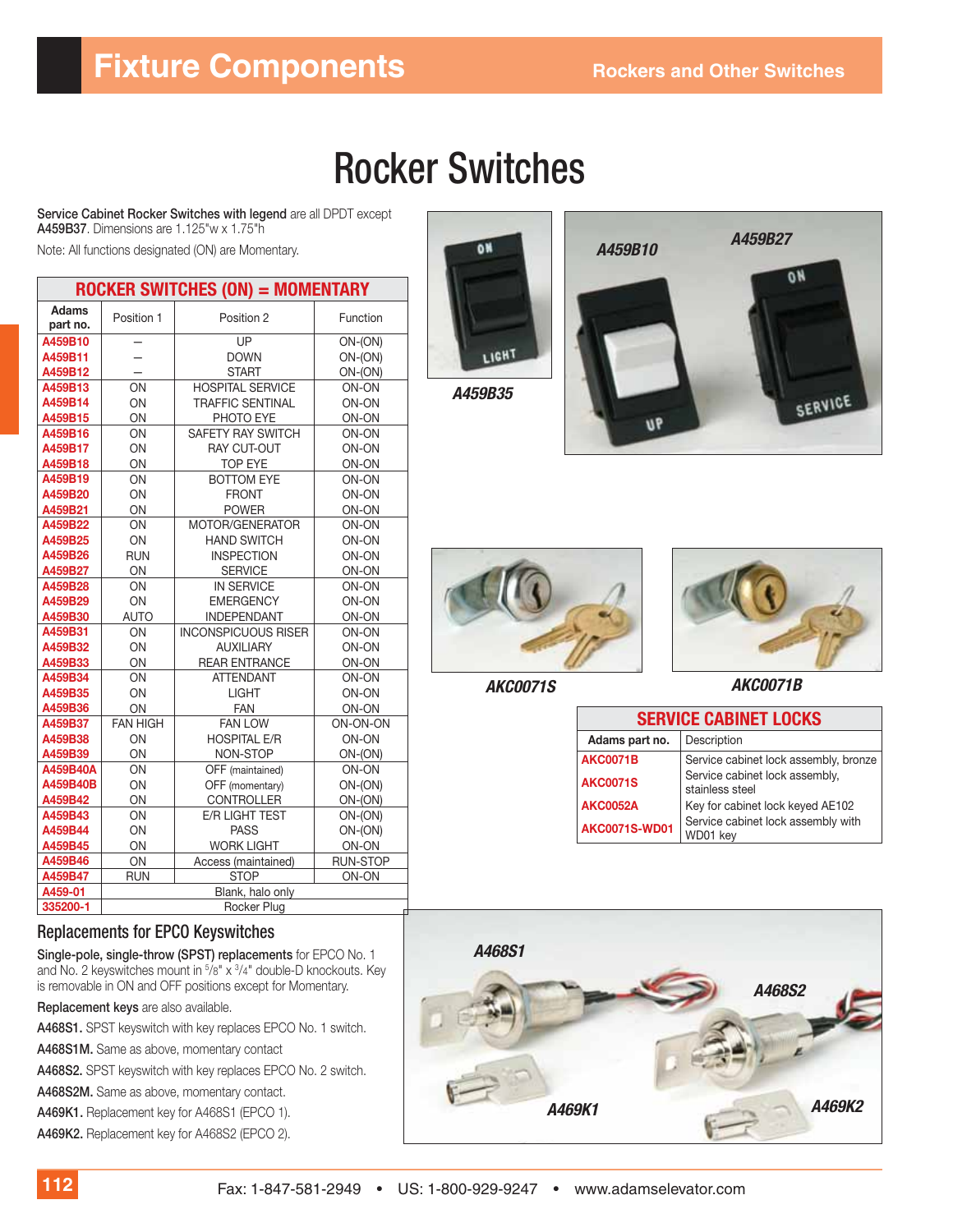# **Fixture Components** Rockers and Other Switches

# Rocker Switches

**Service Cabinet Rocker Switches with legend** are all DPDT except **A459B37**. Dimensions are 1.125"w x 1.75"h

Note: All functions designated (ON) are Momentary. *A459B10*

| ROCKER SWITCHES (ON) = MOMENTARY |                  |                            |                 |
|----------------------------------|------------------|----------------------------|-----------------|
| <b>Adams</b><br>part no.         | Position 1       | Position 2                 | Function        |
| A459B10                          |                  | UP                         | $ON-(ON)$       |
| A459B11                          |                  | <b>DOWN</b>                | $ON-(ON)$       |
| A459B12                          |                  | <b>START</b>               | $ON-(ON)$       |
| A459B13                          | ON               | <b>HOSPITAL SERVICE</b>    | ON-ON           |
| A459B14                          | ON               | <b>TRAFFIC SENTINAL</b>    | ON-ON           |
| A459B15                          | ON               | PHOTO EYE                  | ON-ON           |
| A459B16                          | ON               | SAFETY RAY SWITCH          | ON-ON           |
| A459B17                          | OΝ               | <b>RAY CUT-OUT</b>         | ON-ON           |
| A459B18                          | ON               | <b>TOP EYE</b>             | ON-ON           |
| A459B19                          | ON               | <b>BOTTOM EYE</b>          | ON-ON           |
| A459B20                          | ON               | <b>FRONT</b>               | ON-ON           |
| A459B21                          | ON               | <b>POWER</b>               | ON-ON           |
| A459B22                          | ON               | MOTOR/GENERATOR            | ON-ON           |
| A459B25                          | ON               | <b>HAND SWITCH</b>         | ON-ON           |
| A459B26                          | <b>RUN</b>       | <b>INSPECTION</b>          | ON-ON           |
| A459B27                          | ON               | <b>SERVICE</b>             | ON-ON           |
| A459B28                          | ON               | <b>IN SERVICE</b>          | ON-ON           |
| A459B29                          | ON               | <b>EMERGENCY</b>           | ON-ON           |
| A459B30                          | <b>AUTO</b>      | <b>INDEPENDANT</b>         | ON-ON           |
| A459B31                          | ON               | <b>INCONSPICUOUS RISER</b> | ON-ON           |
| A459B32                          | ON               | <b>AUXILIARY</b>           | ON-ON           |
| A459B33                          | ON               | <b>REAR ENTRANCE</b>       | ON-ON           |
| A459B34                          | OΝ               | <b>ATTENDANT</b>           | ON-ON           |
| A459B35                          | ON               | <b>LIGHT</b>               | ON-ON           |
| A459B36                          | ON               | <b>FAN</b>                 | ON-ON           |
| A459B37                          | <b>FAN HIGH</b>  | <b>FAN LOW</b>             | ON-ON-ON        |
| A459B38                          | ON               | <b>HOSPITAL E/R</b>        | ON-ON           |
| A459B39                          | ON               | NON-STOP                   | $ON-(ON)$       |
| A459B40A                         | ON               | OFF (maintained)           | ON-ON           |
| A459B40B                         | ON               | OFF (momentary)            | $ON-(ON)$       |
| A459B42                          | ON               | <b>CONTROLLER</b>          | ON-(ON)         |
| A459B43                          | ON               | E/R LIGHT TEST             | $ON-(ON)$       |
| A459B44                          | ON               | <b>PASS</b>                | $ON-(ON)$       |
| A459B45                          | ON               | <b>WORK LIGHT</b>          | ON-ON           |
| A459B46                          | ON               | Access (maintained)        | <b>RUN-STOP</b> |
| A459B47                          | <b>RUN</b>       | <b>STOP</b>                | ON-ON           |
| A459-01                          |                  | Blank, halo only           |                 |
| 335200-1                         | Rocker Plua<br>Л |                            |                 |

# LIGHT

*A459B35*







*AKC0071S AKC0071B*

| <b>SERVICE CABINET LOCKS</b> |                                                   |  |  |
|------------------------------|---------------------------------------------------|--|--|
| Adams part no.               | Description                                       |  |  |
| <b>AKC0071B</b>              | Service cabinet lock assembly, bronze             |  |  |
| <b>AKC0071S</b>              | Service cabinet lock assembly,<br>stainless steel |  |  |
| <b>AKC0052A</b>              | Key for cabinet lock keyed AE102                  |  |  |
| <b>AKC0071S-WD01</b>         | Service cabinet lock assembly with<br>WD01 key    |  |  |



#### Replacements for EPCO Keyswitches

**Single-pole, single-throw (SPST) replacements** for EPCO No. 1 and No. 2 keyswitches mount in 5/8" x 3/4" double-D knockouts. Key is removable in ON and OFF positions except for Momentary.

**Replacement keys** are also available.

**A468S1.** SPST keyswitch with key replaces EPCO No. 1 switch.

**A468S1M.** Same as above, momentary contact

**A468S2.** SPST keyswitch with key replaces EPCO No. 2 switch.

**A468S2M.** Same as above, momentary contact.

**A469K1.** Replacement key for A468S1 (EPCO 1).

**A469K2.** Replacement key for A468S2 (EPCO 2).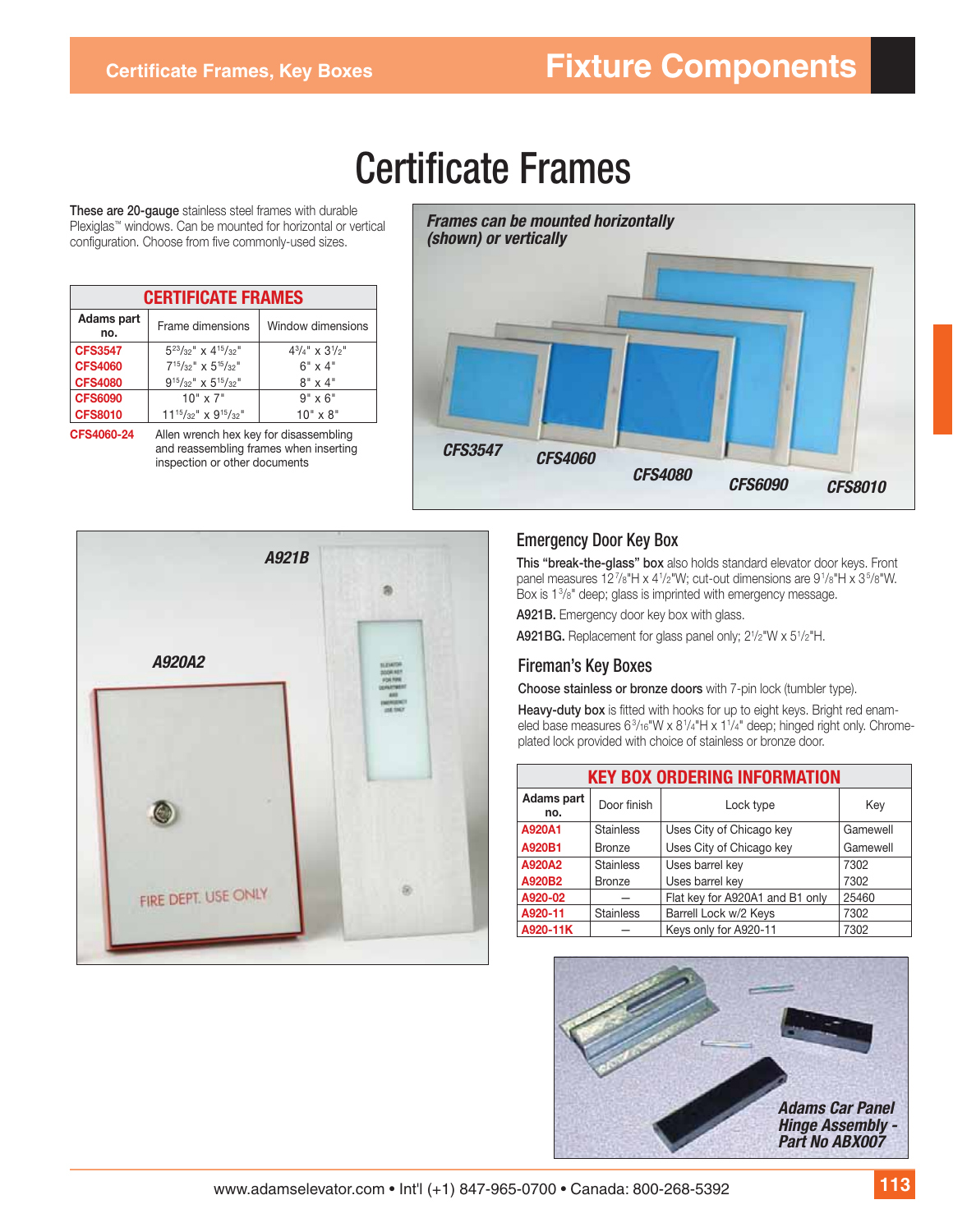# **Certificate Frames**

**These are 20-gauge** stainless steel frames with durable Plexiglas™ windows. Can be mounted for horizontal or vertical configuration. Choose from five commonly-used sizes.

| <b>CERTIFICATE FRAMES</b> |                                |                                 |  |  |
|---------------------------|--------------------------------|---------------------------------|--|--|
| Adams part<br>no.         | Frame dimensions               | Window dimensions               |  |  |
| <b>CFS3547</b>            | $5^{23}/32''$ x $4^{15}/32''$  | $4^{3}/_{4}$ " x $3^{1}/_{2}$ " |  |  |
| <b>CFS4060</b>            | $7^{15}/32''$ x $5^{15}/32''$  | $6" \times 4"$                  |  |  |
| <b>CFS4080</b>            | $9^{15}/32''$ x $5^{15}/32''$  | $8" \times 4"$                  |  |  |
| <b>CFS6090</b>            | $10'' \times 7''$              | $9" \times 6"$                  |  |  |
| <b>CFS8010</b>            | $11^{15}/32''$ x $9^{15}/32''$ | $10" \times 8"$                 |  |  |

**CFS4060-24** Allen wrench hex key for disassembling and reassembling frames when inserting inspection or other documents





#### Emergency Door Key Box

**This "break-the-glass" box** also holds standard elevator door keys. Front panel measures 127/8"H x 41/2"W; cut-out dimensions are 91/8"H x 35/8"W. Box is 13 /8" deep; glass is imprinted with emergency message.

**A921B.** Emergency door key box with glass.

**A921BG.** Replacement for glass panel only; 2<sup>1</sup>/2"W x 5<sup>1</sup>/2"H.

#### Fireman's Key Boxes

**Choose stainless or bronze doors** with 7-pin lock (tumbler type).

Heavy-duty box is fitted with hooks for up to eight keys. Bright red enameled base measures 6<sup>3</sup>/16"W x 8<sup>1</sup>/4"H x 1<sup>1</sup>/4" deep; hinged right only. Chromeplated lock provided with choice of stainless or bronze door.

| <b>KEY BOX ORDERING INFORMATION</b> |                  |                                 |          |
|-------------------------------------|------------------|---------------------------------|----------|
| Adams part<br>no.                   | Door finish      | Lock type                       | Key      |
| A920A1                              | <b>Stainless</b> | Uses City of Chicago key        | Gamewell |
| A920B1                              | <b>Bronze</b>    | Uses City of Chicago key        | Gamewell |
| A920A2                              | <b>Stainless</b> | Uses barrel key                 | 7302     |
| A920B2                              | <b>Bronze</b>    | Uses barrel key                 | 7302     |
| A920-02                             |                  | Flat key for A920A1 and B1 only | 25460    |
| A920-11                             | <b>Stainless</b> | Barrell Lock w/2 Keys           | 7302     |
| A920-11K                            |                  | Keys only for A920-11           | 7302     |

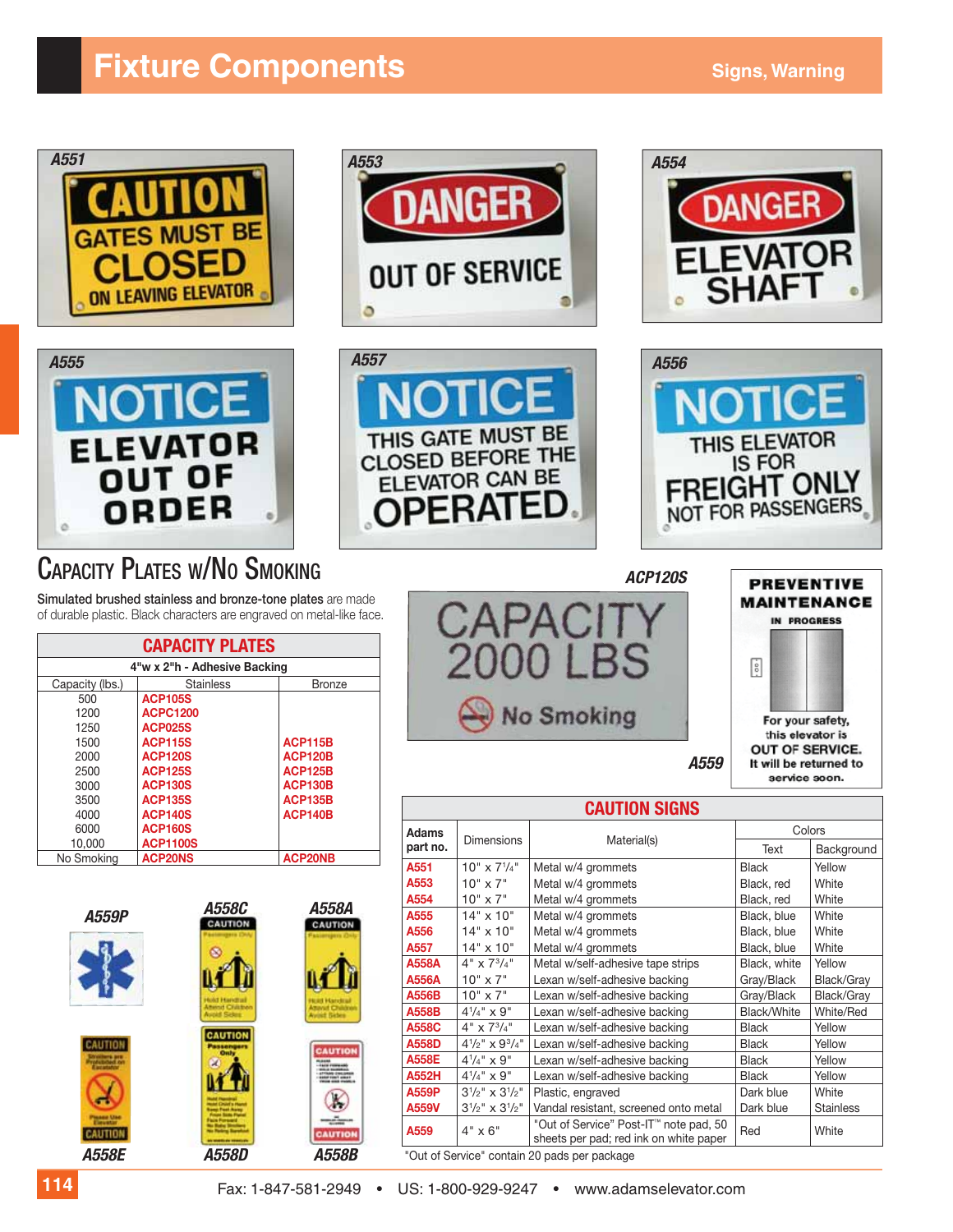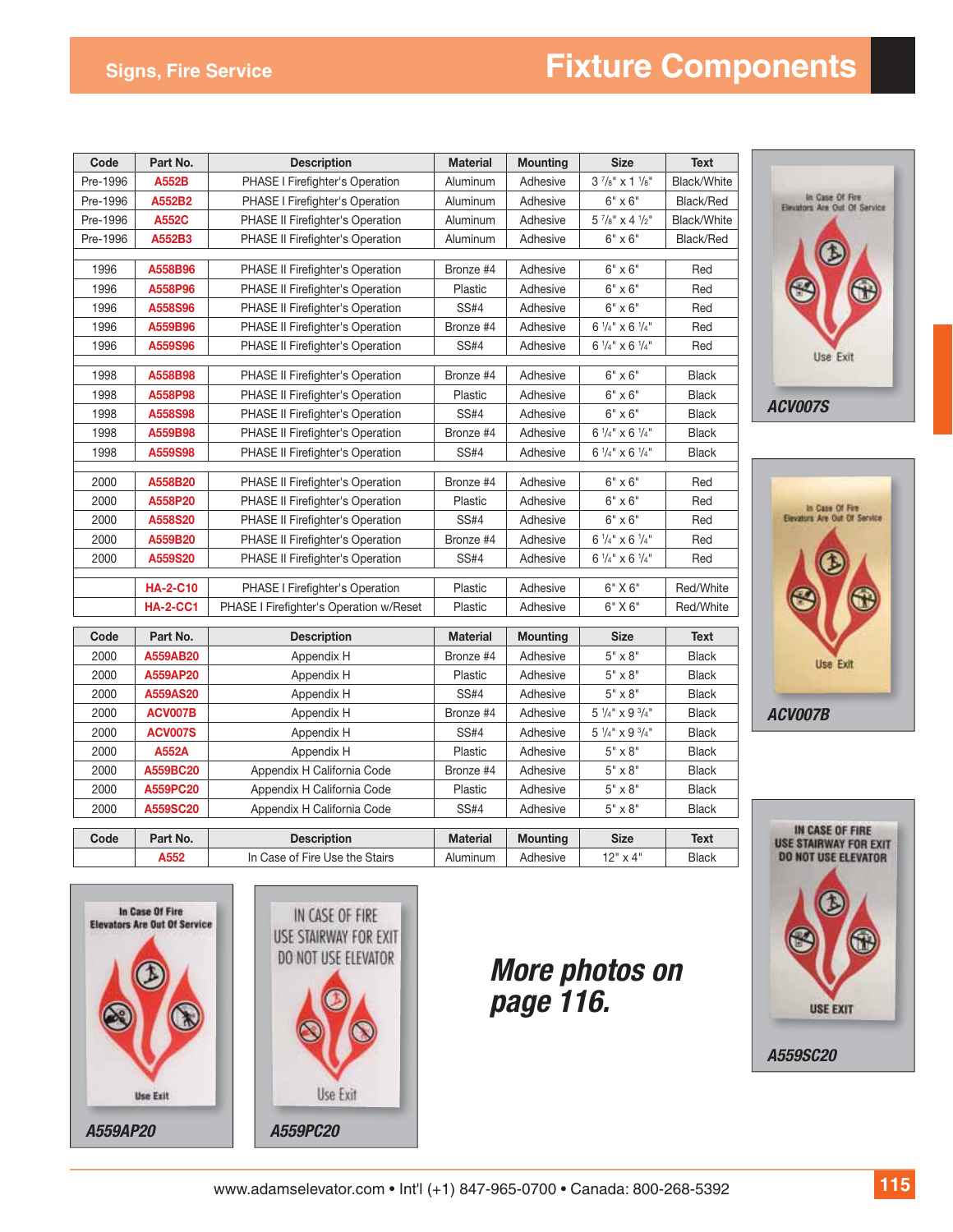# **Signs, Fire Service Components**

| Code     | Part No.        | <b>Description</b>                      | <b>Material</b> | <b>Mounting</b>                                  | <b>Size</b>                          | <b>Text</b>  |
|----------|-----------------|-----------------------------------------|-----------------|--------------------------------------------------|--------------------------------------|--------------|
| Pre-1996 | <b>A552B</b>    | PHASE I Firefighter's Operation         | Aluminum        | Adhesive                                         | $3\frac{7}{8}$ " x 1 $\frac{1}{8}$ " | Black/White  |
| Pre-1996 | A552B2          | PHASE I Firefighter's Operation         | Aluminum        | Adhesive                                         | $6" \times 6"$                       | Black/Red    |
| Pre-1996 | A552C           | PHASE II Firefighter's Operation        | Aluminum        | Adhesive                                         | $5\frac{7}{8}$ " x 4 $\frac{1}{2}$ " | Black/White  |
| Pre-1996 | A552B3          | <b>PHASE II Firefighter's Operation</b> | Aluminum        | Adhesive                                         | $6" \times 6"$                       | Black/Red    |
| 1996     | A558B96         | PHASE II Firefighter's Operation        | Bronze #4       | Adhesive                                         | $6" \times 6"$                       | Red          |
| 1996     | A558P96         | PHASE II Firefighter's Operation        | Plastic         | Adhesive                                         | $6" \times 6"$                       | Red          |
| 1996     | A558S96         | PHASE II Firefighter's Operation        | <b>SS#4</b>     | Adhesive                                         | $6" \times 6"$                       | Red          |
| 1996     | A559B96         | PHASE II Firefighter's Operation        | Bronze #4       | Adhesive                                         | $6\frac{1}{4}$ x 6 $\frac{1}{4}$     | Red          |
| 1996     | A559S96         | PHASE II Firefighter's Operation        | <b>SS#4</b>     | $6\frac{1}{4}$ " x 6 $\frac{1}{4}$ "<br>Adhesive |                                      | Red          |
| 1998     | A558B98         | PHASE II Firefighter's Operation        | Bronze #4       | Adhesive                                         | $6" \times 6"$                       | <b>Black</b> |
| 1998     | A558P98         | PHASE II Firefighter's Operation        | Plastic         | Adhesive                                         | $6" \times 6"$                       | <b>Black</b> |
| 1998     | A558S98         | PHASE II Firefighter's Operation        | <b>SS#4</b>     | Adhesive                                         | $6" \times 6"$                       | <b>Black</b> |
| 1998     | A559B98         | PHASE II Firefighter's Operation        | Bronze #4       | Adhesive                                         | $6\frac{1}{4}$ " x $6\frac{1}{4}$ "  | <b>Black</b> |
| 1998     | A559S98         | PHASE II Firefighter's Operation        | <b>SS#4</b>     | Adhesive                                         | $6\frac{1}{4}$ x 6 $\frac{1}{4}$     | <b>Black</b> |
| 2000     | A558B20         | PHASE II Firefighter's Operation        | Bronze #4       | Adhesive                                         | $6" \times 6"$                       | Red          |
| 2000     | A558P20         | PHASE II Firefighter's Operation        | Plastic         | Adhesive                                         | $6" \times 6"$                       | Red          |
| 2000     | A558S20         | PHASE II Firefighter's Operation        | <b>SS#4</b>     | Adhesive                                         | $6" \times 6"$                       | Red          |
| 2000     | A559B20         | PHASE II Firefighter's Operation        | Bronze #4       | Adhesive                                         | $6\frac{1}{4}$ x 6 $\frac{1}{4}$ "   | Red          |
| 2000     | A559S20         | PHASE II Firefighter's Operation        | <b>SS#4</b>     | Adhesive                                         | $6\frac{1}{4}$ x 6 $\frac{1}{4}$ "   | Red          |
|          | <b>HA-2-C10</b> | PHASE I Firefighter's Operation         | Plastic         | Adhesive                                         | 6" X 6"                              | Red/White    |
|          | <b>HA-2-CC1</b> | PHASE I Firefighter's Operation w/Reset | Plastic         | Adhesive                                         | $6"$ X $6"$                          | Red/White    |
| Code     | Part No.        | <b>Description</b>                      | <b>Material</b> | <b>Mounting</b>                                  | <b>Size</b>                          | <b>Text</b>  |
| 2000     | A559AB20        | Appendix H                              | Bronze #4       | Adhesive                                         | $5" \times 8"$                       | <b>Black</b> |
| 2000     | A559AP20        | Appendix H                              | Plastic         | Adhesive                                         | $5" \times 8"$                       | <b>Black</b> |
| 2000     | A559AS20        | Appendix H                              | <b>SS#4</b>     | Adhesive                                         | $5" \times 8"$                       | <b>Black</b> |
| 2000     | ACV007B         | Appendix H                              | Bronze #4       | Adhesive                                         | $5\frac{1}{4}$ " x 9 $\frac{3}{4}$ " | <b>Black</b> |
| 2000     | <b>ACV007S</b>  | Appendix H                              | <b>SS#4</b>     | Adhesive                                         | $5\frac{1}{4}$ " x 9 $\frac{3}{4}$ " | <b>Black</b> |
| 2000     | <b>A552A</b>    | Appendix H                              | Plastic         | Adhesive                                         | $5" \times 8"$                       | <b>Black</b> |
| 2000     | A559BC20        | Appendix H California Code              | Bronze #4       | Adhesive                                         | $5" \times 8"$                       | <b>Black</b> |
| 2000     | A559PC20        | Appendix H California Code              | Plastic         | Adhesive                                         | $5" \times 8"$                       | <b>Black</b> |
| 2000     | A559SC20        | Appendix H California Code              | <b>SS#4</b>     | Adhesive                                         | $5" \times 8"$                       | <b>Black</b> |
| Code     | Part No.        | <b>Description</b>                      | <b>Material</b> | <b>Mounting</b>                                  | <b>Size</b>                          | <b>Text</b>  |
|          | A552            | In Case of Fire Use the Stairs          | Aluminum        | Adhesive                                         | 12" x 4"                             | <b>Black</b> |









*More photos on page 116.*